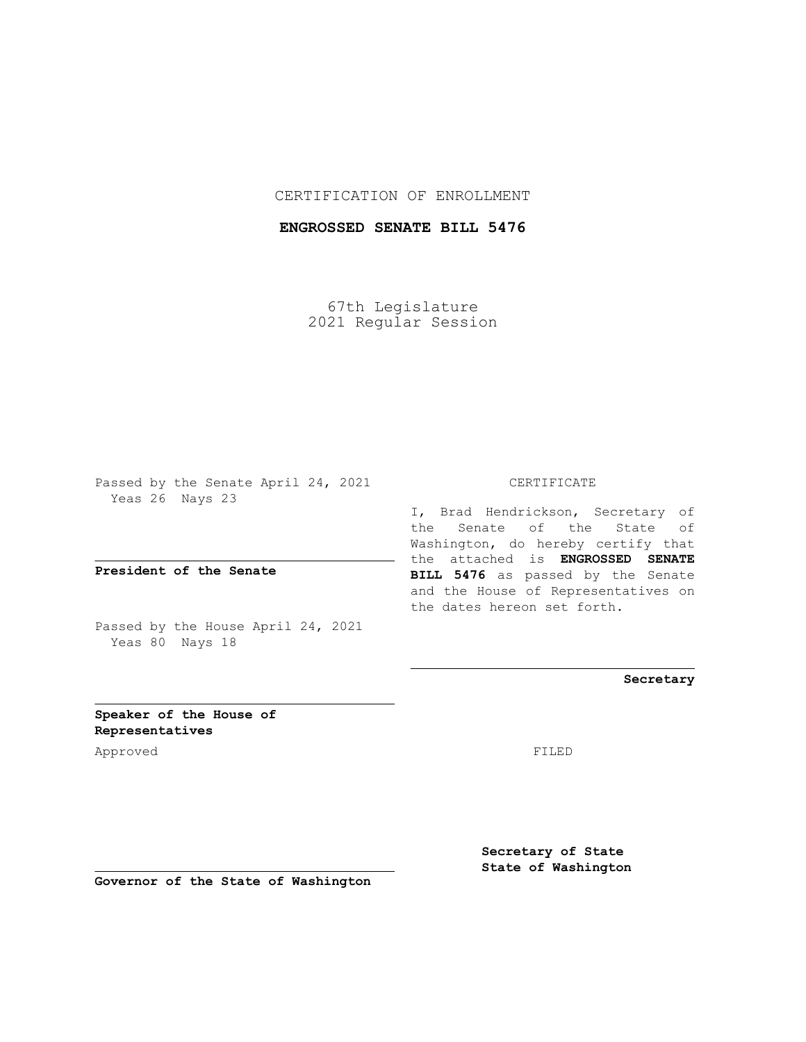### CERTIFICATION OF ENROLLMENT

### **ENGROSSED SENATE BILL 5476**

67th Legislature 2021 Regular Session

Passed by the Senate April 24, 2021 Yeas 26 Nays 23

**President of the Senate**

Passed by the House April 24, 2021 Yeas 80 Nays 18

### CERTIFICATE

I, Brad Hendrickson, Secretary of the Senate of the State of Washington, do hereby certify that the attached is **ENGROSSED SENATE BILL 5476** as passed by the Senate and the House of Representatives on the dates hereon set forth.

**Secretary**

**Speaker of the House of Representatives**

Approved FILED

**Secretary of State State of Washington**

**Governor of the State of Washington**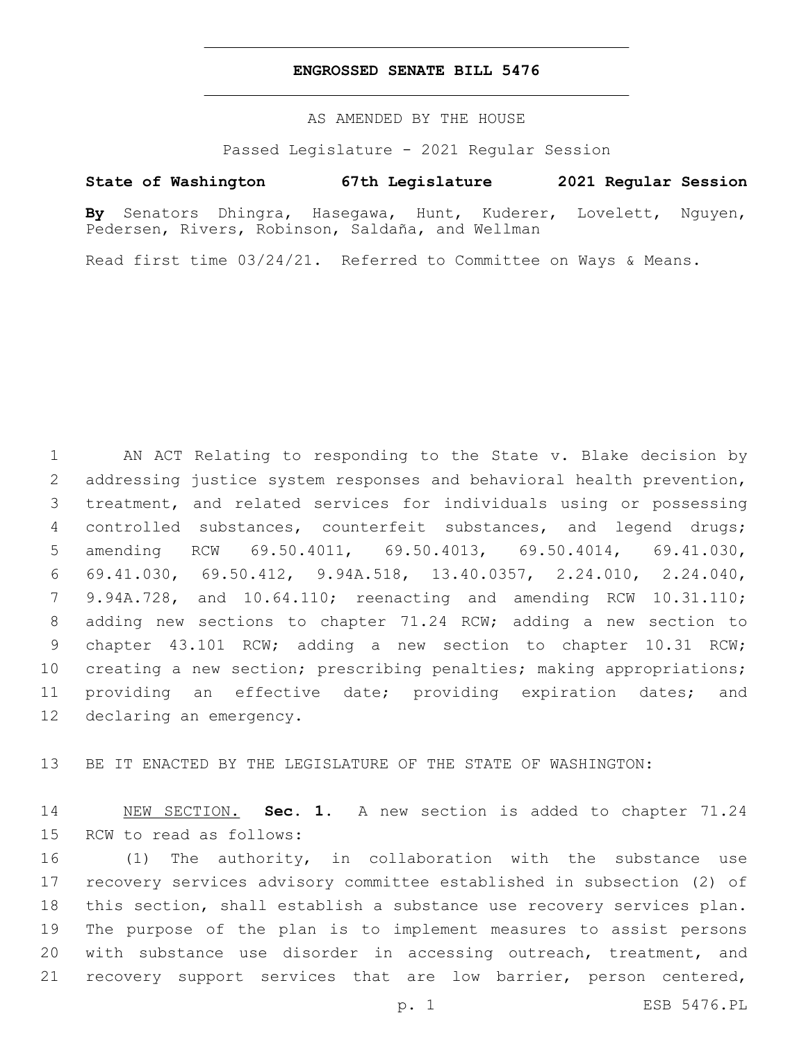### **ENGROSSED SENATE BILL 5476**

AS AMENDED BY THE HOUSE

Passed Legislature - 2021 Regular Session

## **State of Washington 67th Legislature 2021 Regular Session**

**By** Senators Dhingra, Hasegawa, Hunt, Kuderer, Lovelett, Nguyen, Pedersen, Rivers, Robinson, Saldaña, and Wellman

Read first time 03/24/21. Referred to Committee on Ways & Means.

 AN ACT Relating to responding to the State v. Blake decision by addressing justice system responses and behavioral health prevention, treatment, and related services for individuals using or possessing controlled substances, counterfeit substances, and legend drugs; amending RCW 69.50.4011, 69.50.4013, 69.50.4014, 69.41.030, 69.41.030, 69.50.412, 9.94A.518, 13.40.0357, 2.24.010, 2.24.040, 9.94A.728, and 10.64.110; reenacting and amending RCW 10.31.110; adding new sections to chapter 71.24 RCW; adding a new section to chapter 43.101 RCW; adding a new section to chapter 10.31 RCW; 10 creating a new section; prescribing penalties; making appropriations; providing an effective date; providing expiration dates; and 12 declaring an emergency.

BE IT ENACTED BY THE LEGISLATURE OF THE STATE OF WASHINGTON:

 NEW SECTION. **Sec. 1.** A new section is added to chapter 71.24 15 RCW to read as follows:

 (1) The authority, in collaboration with the substance use recovery services advisory committee established in subsection (2) of this section, shall establish a substance use recovery services plan. The purpose of the plan is to implement measures to assist persons with substance use disorder in accessing outreach, treatment, and recovery support services that are low barrier, person centered,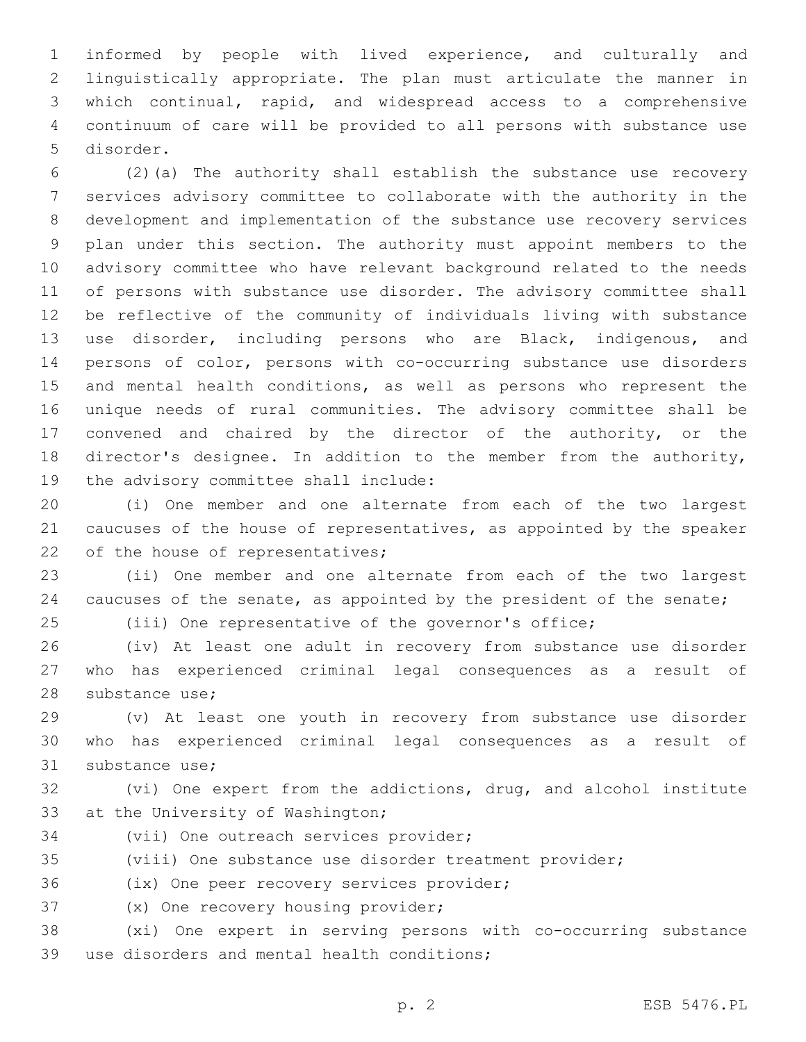informed by people with lived experience, and culturally and linguistically appropriate. The plan must articulate the manner in which continual, rapid, and widespread access to a comprehensive continuum of care will be provided to all persons with substance use 5 disorder.

 (2)(a) The authority shall establish the substance use recovery services advisory committee to collaborate with the authority in the development and implementation of the substance use recovery services plan under this section. The authority must appoint members to the advisory committee who have relevant background related to the needs of persons with substance use disorder. The advisory committee shall be reflective of the community of individuals living with substance use disorder, including persons who are Black, indigenous, and persons of color, persons with co-occurring substance use disorders and mental health conditions, as well as persons who represent the unique needs of rural communities. The advisory committee shall be convened and chaired by the director of the authority, or the director's designee. In addition to the member from the authority, 19 the advisory committee shall include:

 (i) One member and one alternate from each of the two largest caucuses of the house of representatives, as appointed by the speaker 22 of the house of representatives;

 (ii) One member and one alternate from each of the two largest 24 caucuses of the senate, as appointed by the president of the senate; (iii) One representative of the governor's office;

 (iv) At least one adult in recovery from substance use disorder who has experienced criminal legal consequences as a result of 28 substance use;

 (v) At least one youth in recovery from substance use disorder who has experienced criminal legal consequences as a result of 31 substance use;

 (vi) One expert from the addictions, drug, and alcohol institute 33 at the University of Washington;

34 (vii) One outreach services provider;

(viii) One substance use disorder treatment provider;

36 (ix) One peer recovery services provider;

37 (x) One recovery housing provider;

 (xi) One expert in serving persons with co-occurring substance 39 use disorders and mental health conditions;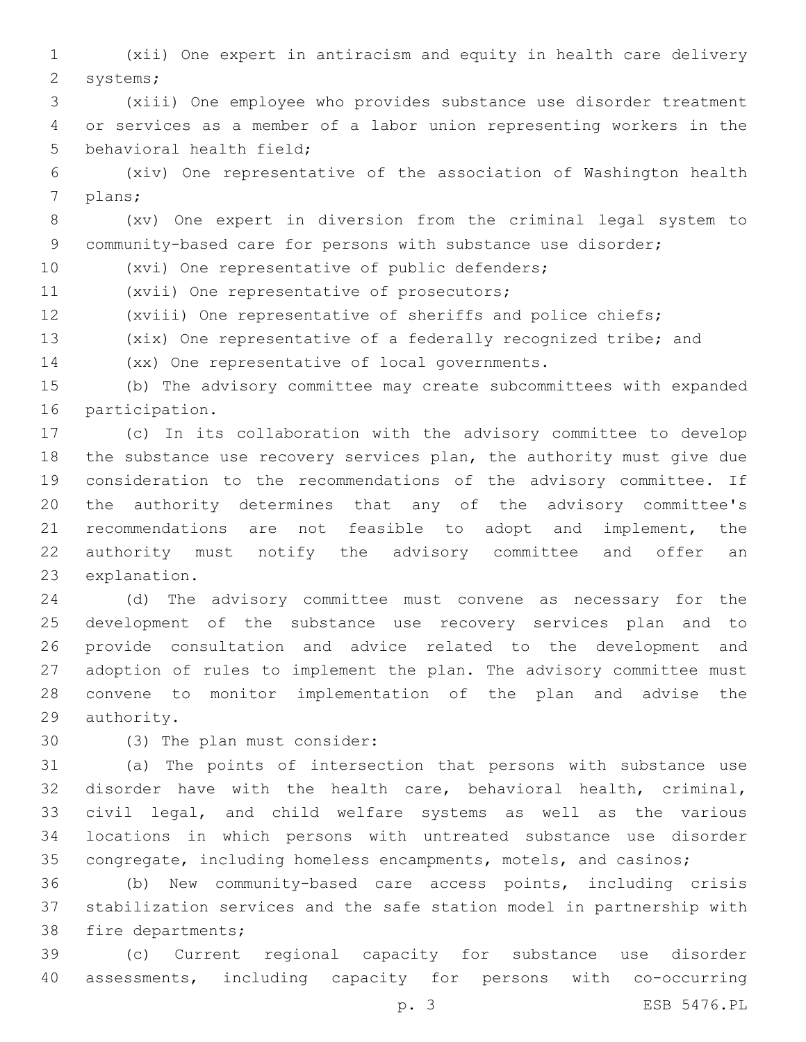(xii) One expert in antiracism and equity in health care delivery 2 systems;

 (xiii) One employee who provides substance use disorder treatment or services as a member of a labor union representing workers in the 5 behavioral health field;

 (xiv) One representative of the association of Washington health 7 plans;

 (xv) One expert in diversion from the criminal legal system to 9 community-based care for persons with substance use disorder;

10 (xvi) One representative of public defenders;

11 (xvii) One representative of prosecutors;

(xviii) One representative of sheriffs and police chiefs;

(xix) One representative of a federally recognized tribe; and

14 (xx) One representative of local governments.

 (b) The advisory committee may create subcommittees with expanded 16 participation.

 (c) In its collaboration with the advisory committee to develop the substance use recovery services plan, the authority must give due consideration to the recommendations of the advisory committee. If the authority determines that any of the advisory committee's recommendations are not feasible to adopt and implement, the authority must notify the advisory committee and offer an 23 explanation.

 (d) The advisory committee must convene as necessary for the development of the substance use recovery services plan and to provide consultation and advice related to the development and adoption of rules to implement the plan. The advisory committee must convene to monitor implementation of the plan and advise the 29 authority.

30 (3) The plan must consider:

 (a) The points of intersection that persons with substance use disorder have with the health care, behavioral health, criminal, civil legal, and child welfare systems as well as the various locations in which persons with untreated substance use disorder congregate, including homeless encampments, motels, and casinos;

 (b) New community-based care access points, including crisis stabilization services and the safe station model in partnership with 38 fire departments;

 (c) Current regional capacity for substance use disorder assessments, including capacity for persons with co-occurring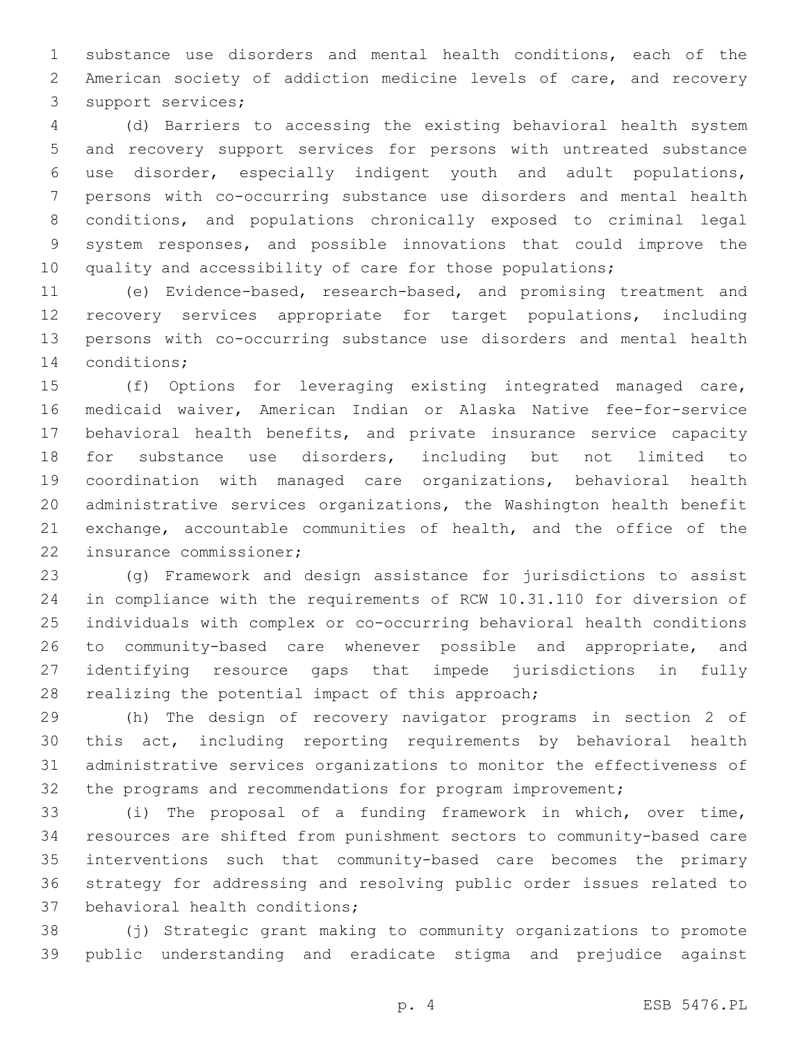substance use disorders and mental health conditions, each of the American society of addiction medicine levels of care, and recovery 3 support services;

 (d) Barriers to accessing the existing behavioral health system and recovery support services for persons with untreated substance use disorder, especially indigent youth and adult populations, persons with co-occurring substance use disorders and mental health conditions, and populations chronically exposed to criminal legal system responses, and possible innovations that could improve the 10 quality and accessibility of care for those populations;

 (e) Evidence-based, research-based, and promising treatment and recovery services appropriate for target populations, including persons with co-occurring substance use disorders and mental health 14 conditions;

 (f) Options for leveraging existing integrated managed care, medicaid waiver, American Indian or Alaska Native fee-for-service behavioral health benefits, and private insurance service capacity for substance use disorders, including but not limited to coordination with managed care organizations, behavioral health administrative services organizations, the Washington health benefit exchange, accountable communities of health, and the office of the 22 insurance commissioner;

 (g) Framework and design assistance for jurisdictions to assist in compliance with the requirements of RCW 10.31.110 for diversion of individuals with complex or co-occurring behavioral health conditions to community-based care whenever possible and appropriate, and identifying resource gaps that impede jurisdictions in fully 28 realizing the potential impact of this approach;

 (h) The design of recovery navigator programs in section 2 of this act, including reporting requirements by behavioral health administrative services organizations to monitor the effectiveness of 32 the programs and recommendations for program improvement;

 (i) The proposal of a funding framework in which, over time, resources are shifted from punishment sectors to community-based care interventions such that community-based care becomes the primary strategy for addressing and resolving public order issues related to 37 behavioral health conditions;

 (j) Strategic grant making to community organizations to promote public understanding and eradicate stigma and prejudice against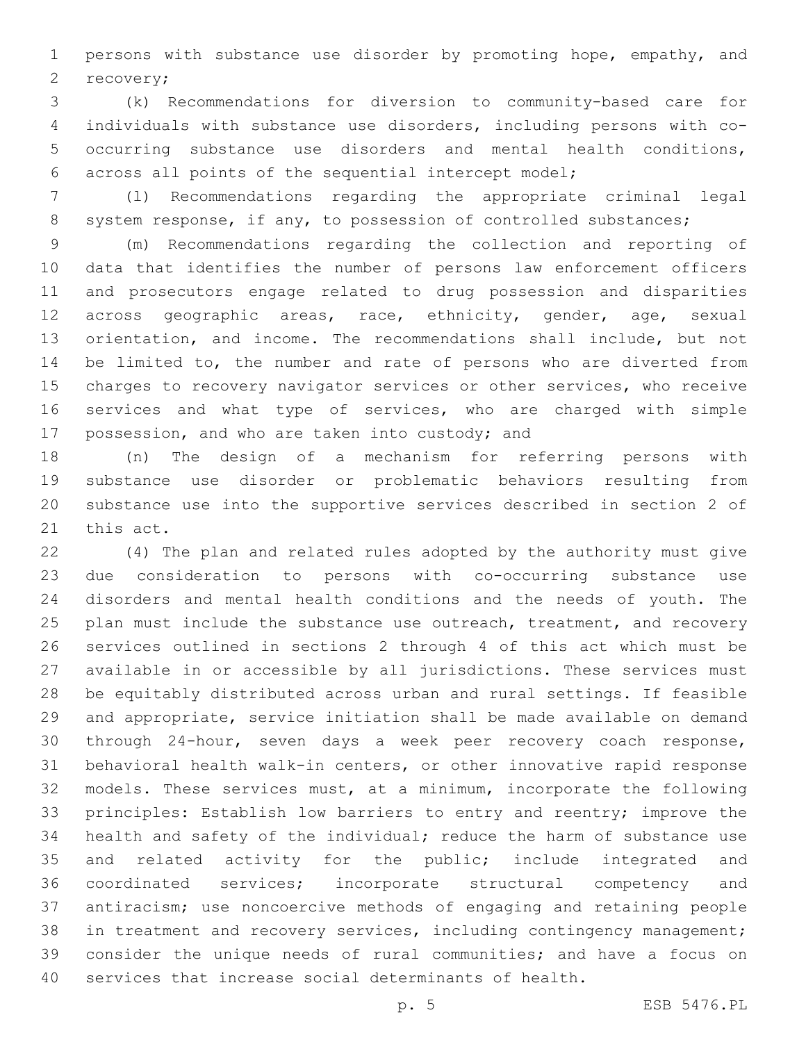persons with substance use disorder by promoting hope, empathy, and 2 recovery;

 (k) Recommendations for diversion to community-based care for individuals with substance use disorders, including persons with co- occurring substance use disorders and mental health conditions, across all points of the sequential intercept model;

 (l) Recommendations regarding the appropriate criminal legal 8 system response, if any, to possession of controlled substances;

 (m) Recommendations regarding the collection and reporting of data that identifies the number of persons law enforcement officers and prosecutors engage related to drug possession and disparities across geographic areas, race, ethnicity, gender, age, sexual orientation, and income. The recommendations shall include, but not be limited to, the number and rate of persons who are diverted from charges to recovery navigator services or other services, who receive services and what type of services, who are charged with simple 17 possession, and who are taken into custody; and

 (n) The design of a mechanism for referring persons with substance use disorder or problematic behaviors resulting from substance use into the supportive services described in section 2 of 21 this act.

 (4) The plan and related rules adopted by the authority must give due consideration to persons with co-occurring substance use disorders and mental health conditions and the needs of youth. The 25 plan must include the substance use outreach, treatment, and recovery services outlined in sections 2 through 4 of this act which must be available in or accessible by all jurisdictions. These services must be equitably distributed across urban and rural settings. If feasible and appropriate, service initiation shall be made available on demand through 24-hour, seven days a week peer recovery coach response, behavioral health walk-in centers, or other innovative rapid response models. These services must, at a minimum, incorporate the following principles: Establish low barriers to entry and reentry; improve the health and safety of the individual; reduce the harm of substance use and related activity for the public; include integrated and coordinated services; incorporate structural competency and antiracism; use noncoercive methods of engaging and retaining people in treatment and recovery services, including contingency management; consider the unique needs of rural communities; and have a focus on services that increase social determinants of health.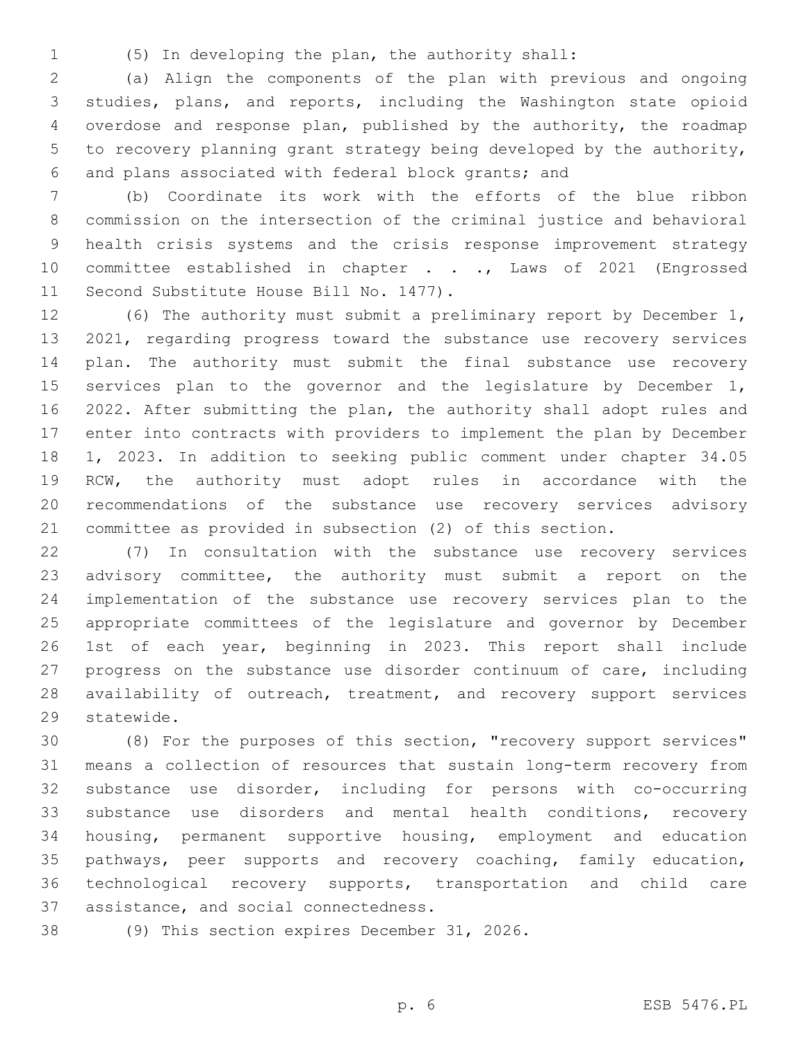- 
- (5) In developing the plan, the authority shall:

 (a) Align the components of the plan with previous and ongoing studies, plans, and reports, including the Washington state opioid overdose and response plan, published by the authority, the roadmap to recovery planning grant strategy being developed by the authority, and plans associated with federal block grants; and

 (b) Coordinate its work with the efforts of the blue ribbon commission on the intersection of the criminal justice and behavioral health crisis systems and the crisis response improvement strategy 10 committee established in chapter . . ., Laws of 2021 (Engrossed 11 Second Substitute House Bill No. 1477).

 (6) The authority must submit a preliminary report by December 1, 2021, regarding progress toward the substance use recovery services plan. The authority must submit the final substance use recovery 15 services plan to the governor and the legislature by December 1, 2022. After submitting the plan, the authority shall adopt rules and enter into contracts with providers to implement the plan by December 1, 2023. In addition to seeking public comment under chapter 34.05 RCW, the authority must adopt rules in accordance with the recommendations of the substance use recovery services advisory committee as provided in subsection (2) of this section.

 (7) In consultation with the substance use recovery services advisory committee, the authority must submit a report on the implementation of the substance use recovery services plan to the appropriate committees of the legislature and governor by December 1st of each year, beginning in 2023. This report shall include progress on the substance use disorder continuum of care, including 28 availability of outreach, treatment, and recovery support services 29 statewide.

 (8) For the purposes of this section, "recovery support services" means a collection of resources that sustain long-term recovery from substance use disorder, including for persons with co-occurring 33 substance use disorders and mental health conditions, recovery housing, permanent supportive housing, employment and education pathways, peer supports and recovery coaching, family education, technological recovery supports, transportation and child care 37 assistance, and social connectedness.

38 (9) This section expires December 31, 2026.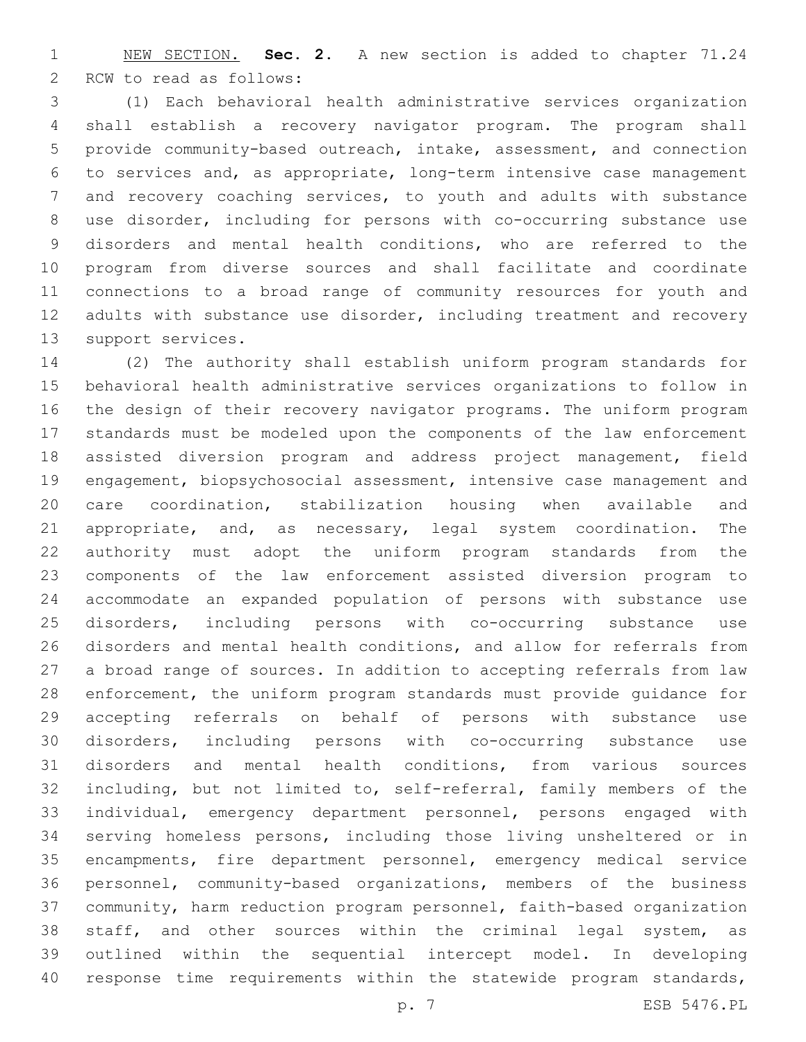NEW SECTION. **Sec. 2.** A new section is added to chapter 71.24 2 RCW to read as follows:

 (1) Each behavioral health administrative services organization shall establish a recovery navigator program. The program shall provide community-based outreach, intake, assessment, and connection to services and, as appropriate, long-term intensive case management and recovery coaching services, to youth and adults with substance use disorder, including for persons with co-occurring substance use disorders and mental health conditions, who are referred to the program from diverse sources and shall facilitate and coordinate connections to a broad range of community resources for youth and 12 adults with substance use disorder, including treatment and recovery 13 support services.

 (2) The authority shall establish uniform program standards for behavioral health administrative services organizations to follow in the design of their recovery navigator programs. The uniform program standards must be modeled upon the components of the law enforcement assisted diversion program and address project management, field engagement, biopsychosocial assessment, intensive case management and care coordination, stabilization housing when available and 21 appropriate, and, as necessary, legal system coordination. The authority must adopt the uniform program standards from the components of the law enforcement assisted diversion program to accommodate an expanded population of persons with substance use disorders, including persons with co-occurring substance use disorders and mental health conditions, and allow for referrals from a broad range of sources. In addition to accepting referrals from law enforcement, the uniform program standards must provide guidance for accepting referrals on behalf of persons with substance use disorders, including persons with co-occurring substance use disorders and mental health conditions, from various sources including, but not limited to, self-referral, family members of the individual, emergency department personnel, persons engaged with serving homeless persons, including those living unsheltered or in encampments, fire department personnel, emergency medical service personnel, community-based organizations, members of the business community, harm reduction program personnel, faith-based organization staff, and other sources within the criminal legal system, as outlined within the sequential intercept model. In developing response time requirements within the statewide program standards,

p. 7 ESB 5476.PL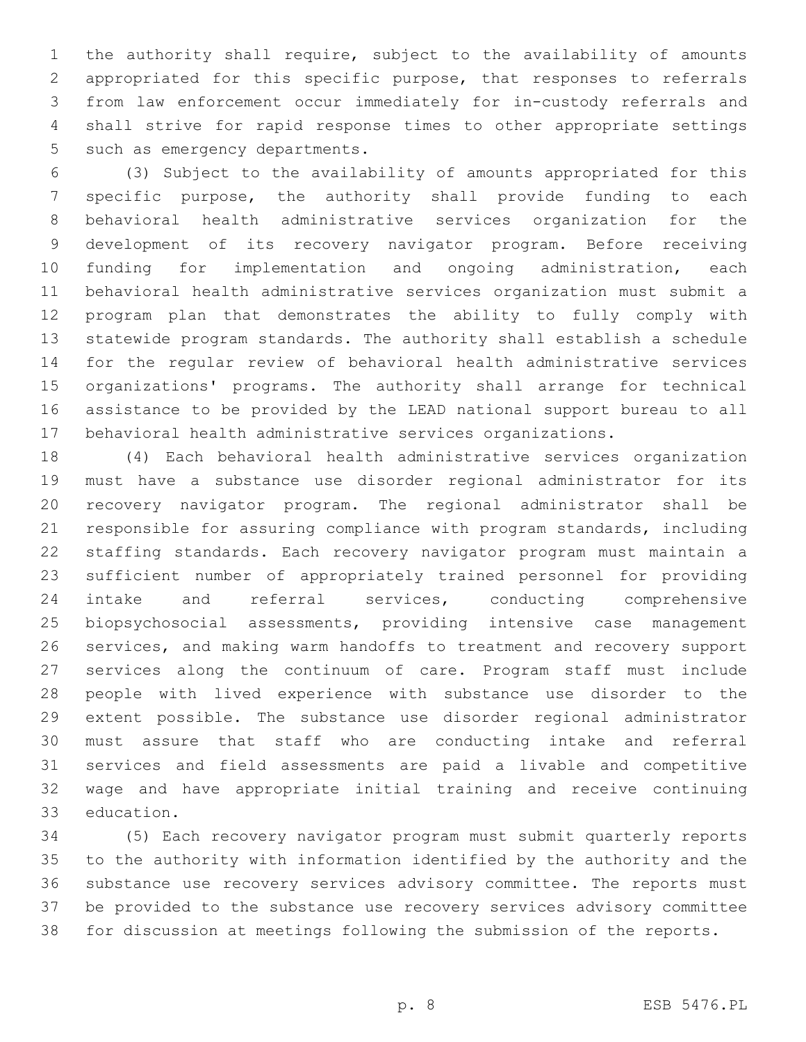the authority shall require, subject to the availability of amounts appropriated for this specific purpose, that responses to referrals from law enforcement occur immediately for in-custody referrals and shall strive for rapid response times to other appropriate settings 5 such as emergency departments.

 (3) Subject to the availability of amounts appropriated for this specific purpose, the authority shall provide funding to each behavioral health administrative services organization for the development of its recovery navigator program. Before receiving funding for implementation and ongoing administration, each behavioral health administrative services organization must submit a program plan that demonstrates the ability to fully comply with statewide program standards. The authority shall establish a schedule for the regular review of behavioral health administrative services organizations' programs. The authority shall arrange for technical assistance to be provided by the LEAD national support bureau to all behavioral health administrative services organizations.

 (4) Each behavioral health administrative services organization must have a substance use disorder regional administrator for its recovery navigator program. The regional administrator shall be responsible for assuring compliance with program standards, including staffing standards. Each recovery navigator program must maintain a sufficient number of appropriately trained personnel for providing intake and referral services, conducting comprehensive biopsychosocial assessments, providing intensive case management services, and making warm handoffs to treatment and recovery support services along the continuum of care. Program staff must include people with lived experience with substance use disorder to the extent possible. The substance use disorder regional administrator must assure that staff who are conducting intake and referral services and field assessments are paid a livable and competitive wage and have appropriate initial training and receive continuing 33 education.

 (5) Each recovery navigator program must submit quarterly reports to the authority with information identified by the authority and the substance use recovery services advisory committee. The reports must be provided to the substance use recovery services advisory committee for discussion at meetings following the submission of the reports.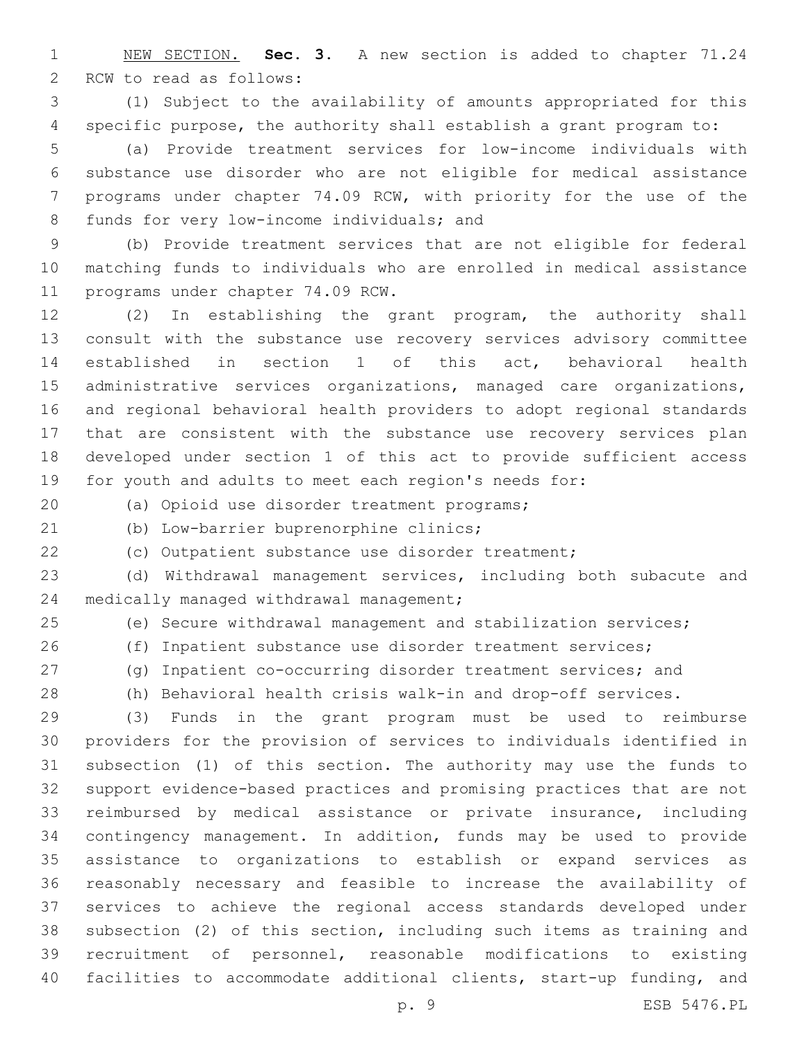NEW SECTION. **Sec. 3.** A new section is added to chapter 71.24 2 RCW to read as follows:

 (1) Subject to the availability of amounts appropriated for this specific purpose, the authority shall establish a grant program to:

 (a) Provide treatment services for low-income individuals with substance use disorder who are not eligible for medical assistance programs under chapter 74.09 RCW, with priority for the use of the 8 funds for very low-income individuals; and

 (b) Provide treatment services that are not eligible for federal matching funds to individuals who are enrolled in medical assistance 11 programs under chapter 74.09 RCW.

 (2) In establishing the grant program, the authority shall consult with the substance use recovery services advisory committee established in section 1 of this act, behavioral health administrative services organizations, managed care organizations, and regional behavioral health providers to adopt regional standards that are consistent with the substance use recovery services plan developed under section 1 of this act to provide sufficient access for youth and adults to meet each region's needs for:

(a) Opioid use disorder treatment programs;20

(b) Low-barrier buprenorphine clinics;

(c) Outpatient substance use disorder treatment;

 (d) Withdrawal management services, including both subacute and 24 medically managed withdrawal management;

(e) Secure withdrawal management and stabilization services;

 (f) Inpatient substance use disorder treatment services; (g) Inpatient co-occurring disorder treatment services; and

(h) Behavioral health crisis walk-in and drop-off services.

 (3) Funds in the grant program must be used to reimburse providers for the provision of services to individuals identified in subsection (1) of this section. The authority may use the funds to support evidence-based practices and promising practices that are not reimbursed by medical assistance or private insurance, including contingency management. In addition, funds may be used to provide assistance to organizations to establish or expand services as reasonably necessary and feasible to increase the availability of services to achieve the regional access standards developed under subsection (2) of this section, including such items as training and recruitment of personnel, reasonable modifications to existing facilities to accommodate additional clients, start-up funding, and

p. 9 ESB 5476.PL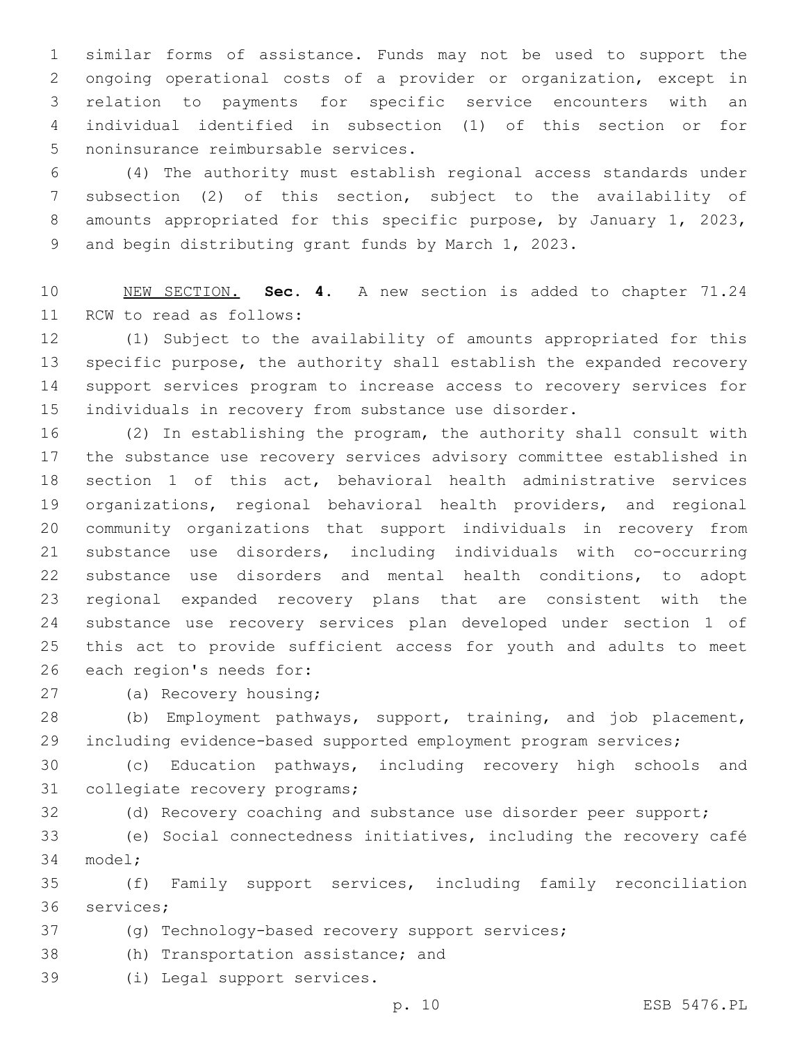similar forms of assistance. Funds may not be used to support the ongoing operational costs of a provider or organization, except in relation to payments for specific service encounters with an individual identified in subsection (1) of this section or for 5 noninsurance reimbursable services.

 (4) The authority must establish regional access standards under subsection (2) of this section, subject to the availability of 8 amounts appropriated for this specific purpose, by January 1, 2023, and begin distributing grant funds by March 1, 2023.

 NEW SECTION. **Sec. 4.** A new section is added to chapter 71.24 11 RCW to read as follows:

 (1) Subject to the availability of amounts appropriated for this specific purpose, the authority shall establish the expanded recovery support services program to increase access to recovery services for individuals in recovery from substance use disorder.

 (2) In establishing the program, the authority shall consult with the substance use recovery services advisory committee established in section 1 of this act, behavioral health administrative services organizations, regional behavioral health providers, and regional community organizations that support individuals in recovery from substance use disorders, including individuals with co-occurring substance use disorders and mental health conditions, to adopt regional expanded recovery plans that are consistent with the substance use recovery services plan developed under section 1 of this act to provide sufficient access for youth and adults to meet 26 each region's needs for:

27 (a) Recovery housing;

 (b) Employment pathways, support, training, and job placement, including evidence-based supported employment program services;

 (c) Education pathways, including recovery high schools and 31 collegiate recovery programs;

(d) Recovery coaching and substance use disorder peer support;

 (e) Social connectedness initiatives, including the recovery café 34 model;

 (f) Family support services, including family reconciliation 36 services;

(g) Technology-based recovery support services;

38 (h) Transportation assistance; and

39 (i) Legal support services.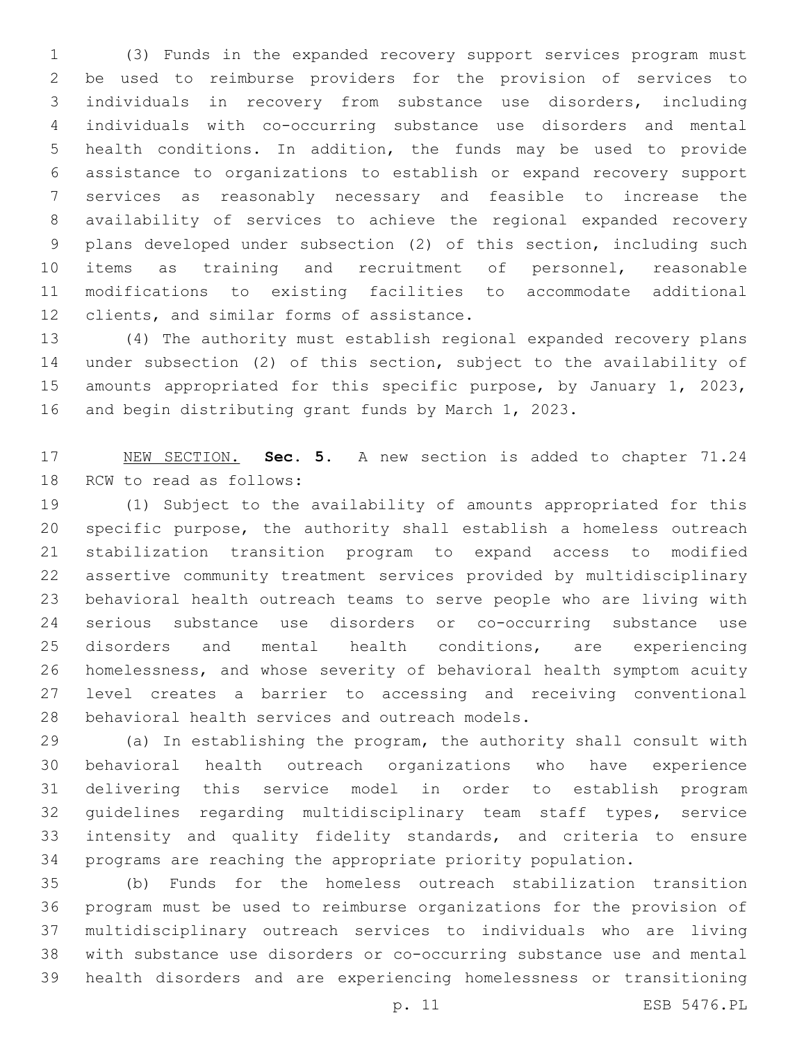(3) Funds in the expanded recovery support services program must be used to reimburse providers for the provision of services to individuals in recovery from substance use disorders, including individuals with co-occurring substance use disorders and mental health conditions. In addition, the funds may be used to provide assistance to organizations to establish or expand recovery support services as reasonably necessary and feasible to increase the availability of services to achieve the regional expanded recovery plans developed under subsection (2) of this section, including such items as training and recruitment of personnel, reasonable modifications to existing facilities to accommodate additional 12 clients, and similar forms of assistance.

 (4) The authority must establish regional expanded recovery plans under subsection (2) of this section, subject to the availability of amounts appropriated for this specific purpose, by January 1, 2023, and begin distributing grant funds by March 1, 2023.

 NEW SECTION. **Sec. 5.** A new section is added to chapter 71.24 18 RCW to read as follows:

 (1) Subject to the availability of amounts appropriated for this specific purpose, the authority shall establish a homeless outreach stabilization transition program to expand access to modified assertive community treatment services provided by multidisciplinary behavioral health outreach teams to serve people who are living with serious substance use disorders or co-occurring substance use disorders and mental health conditions, are experiencing homelessness, and whose severity of behavioral health symptom acuity level creates a barrier to accessing and receiving conventional 28 behavioral health services and outreach models.

 (a) In establishing the program, the authority shall consult with behavioral health outreach organizations who have experience delivering this service model in order to establish program guidelines regarding multidisciplinary team staff types, service intensity and quality fidelity standards, and criteria to ensure programs are reaching the appropriate priority population.

 (b) Funds for the homeless outreach stabilization transition program must be used to reimburse organizations for the provision of multidisciplinary outreach services to individuals who are living with substance use disorders or co-occurring substance use and mental health disorders and are experiencing homelessness or transitioning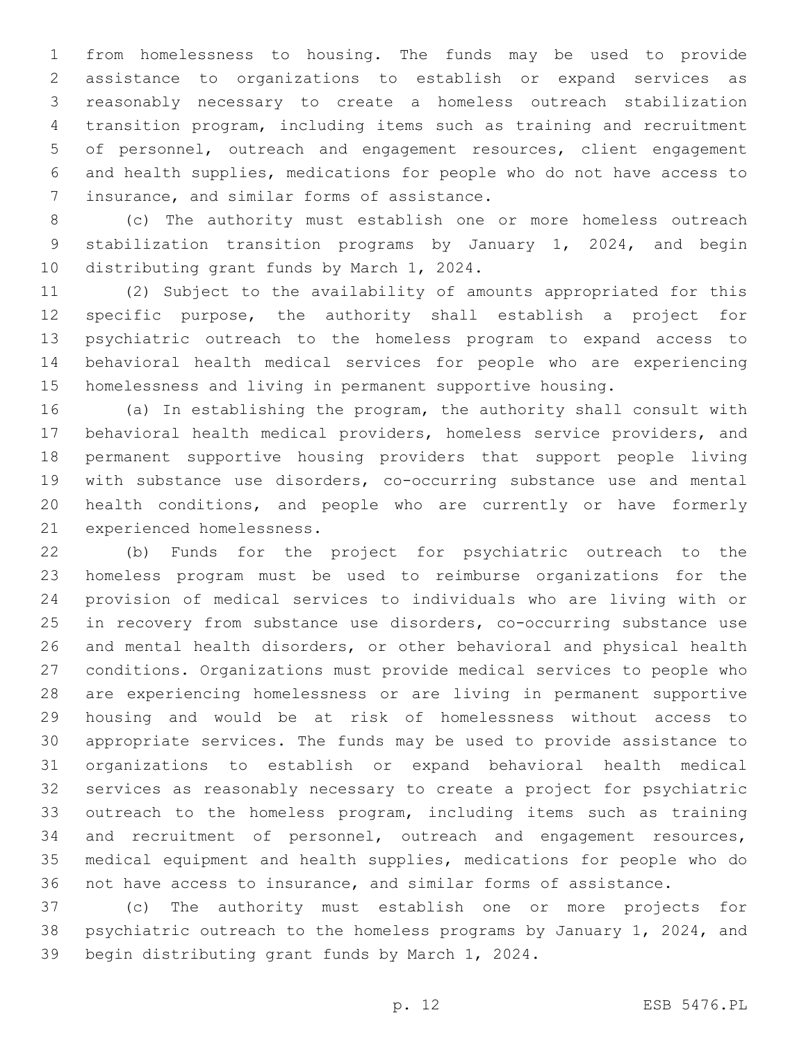from homelessness to housing. The funds may be used to provide assistance to organizations to establish or expand services as reasonably necessary to create a homeless outreach stabilization transition program, including items such as training and recruitment of personnel, outreach and engagement resources, client engagement and health supplies, medications for people who do not have access to 7 insurance, and similar forms of assistance.

 (c) The authority must establish one or more homeless outreach stabilization transition programs by January 1, 2024, and begin 10 distributing grant funds by March 1, 2024.

 (2) Subject to the availability of amounts appropriated for this specific purpose, the authority shall establish a project for psychiatric outreach to the homeless program to expand access to behavioral health medical services for people who are experiencing homelessness and living in permanent supportive housing.

 (a) In establishing the program, the authority shall consult with behavioral health medical providers, homeless service providers, and permanent supportive housing providers that support people living with substance use disorders, co-occurring substance use and mental health conditions, and people who are currently or have formerly 21 experienced homelessness.

 (b) Funds for the project for psychiatric outreach to the homeless program must be used to reimburse organizations for the provision of medical services to individuals who are living with or in recovery from substance use disorders, co-occurring substance use and mental health disorders, or other behavioral and physical health conditions. Organizations must provide medical services to people who are experiencing homelessness or are living in permanent supportive housing and would be at risk of homelessness without access to appropriate services. The funds may be used to provide assistance to organizations to establish or expand behavioral health medical services as reasonably necessary to create a project for psychiatric outreach to the homeless program, including items such as training 34 and recruitment of personnel, outreach and engagement resources, medical equipment and health supplies, medications for people who do not have access to insurance, and similar forms of assistance.

 (c) The authority must establish one or more projects for psychiatric outreach to the homeless programs by January 1, 2024, and 39 begin distributing grant funds by March 1, 2024.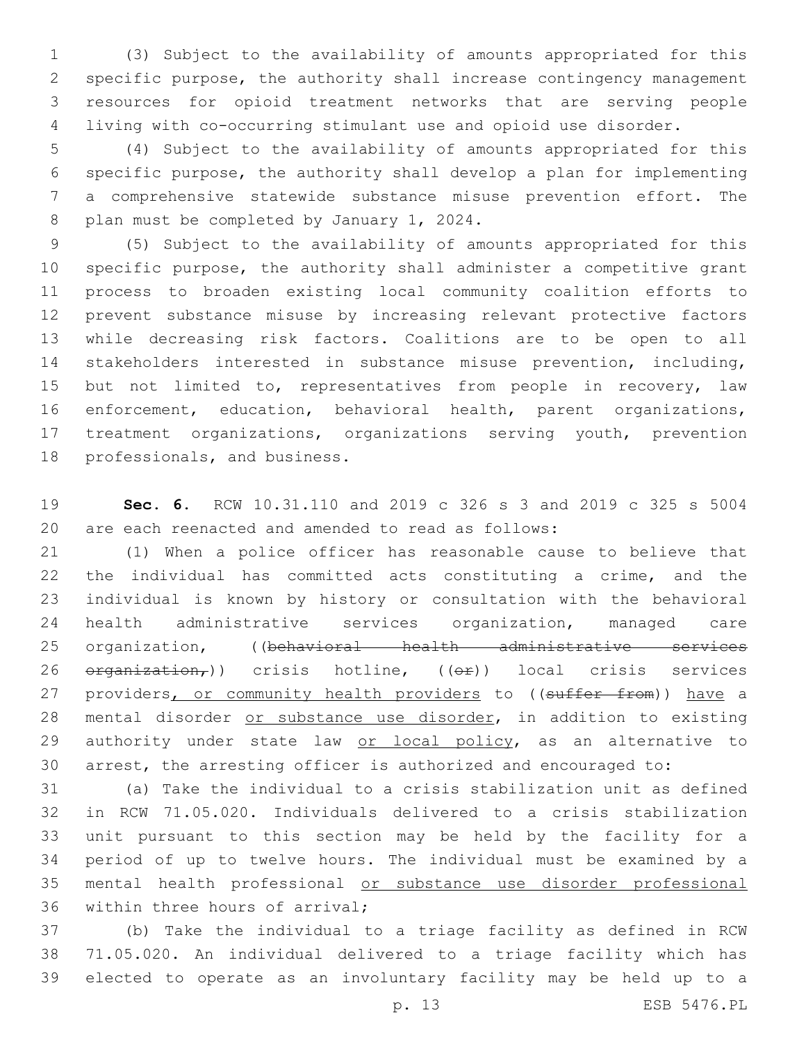(3) Subject to the availability of amounts appropriated for this specific purpose, the authority shall increase contingency management resources for opioid treatment networks that are serving people living with co-occurring stimulant use and opioid use disorder.

 (4) Subject to the availability of amounts appropriated for this specific purpose, the authority shall develop a plan for implementing a comprehensive statewide substance misuse prevention effort. The 8 plan must be completed by January 1, 2024.

 (5) Subject to the availability of amounts appropriated for this specific purpose, the authority shall administer a competitive grant process to broaden existing local community coalition efforts to prevent substance misuse by increasing relevant protective factors while decreasing risk factors. Coalitions are to be open to all stakeholders interested in substance misuse prevention, including, 15 but not limited to, representatives from people in recovery, law enforcement, education, behavioral health, parent organizations, treatment organizations, organizations serving youth, prevention 18 professionals, and business.

 **Sec. 6.** RCW 10.31.110 and 2019 c 326 s 3 and 2019 c 325 s 5004 are each reenacted and amended to read as follows:

 (1) When a police officer has reasonable cause to believe that the individual has committed acts constituting a crime, and the individual is known by history or consultation with the behavioral health administrative services organization, managed care organization, ((behavioral health administrative services organization,)) crisis hotline, ((or)) local crisis services 27 providers, or community health providers to ((suffer from)) have a 28 mental disorder or substance use disorder, in addition to existing 29 authority under state law or local policy, as an alternative to arrest, the arresting officer is authorized and encouraged to:

 (a) Take the individual to a crisis stabilization unit as defined in RCW 71.05.020. Individuals delivered to a crisis stabilization unit pursuant to this section may be held by the facility for a period of up to twelve hours. The individual must be examined by a mental health professional or substance use disorder professional 36 within three hours of arrival;

 (b) Take the individual to a triage facility as defined in RCW 71.05.020. An individual delivered to a triage facility which has elected to operate as an involuntary facility may be held up to a

p. 13 ESB 5476.PL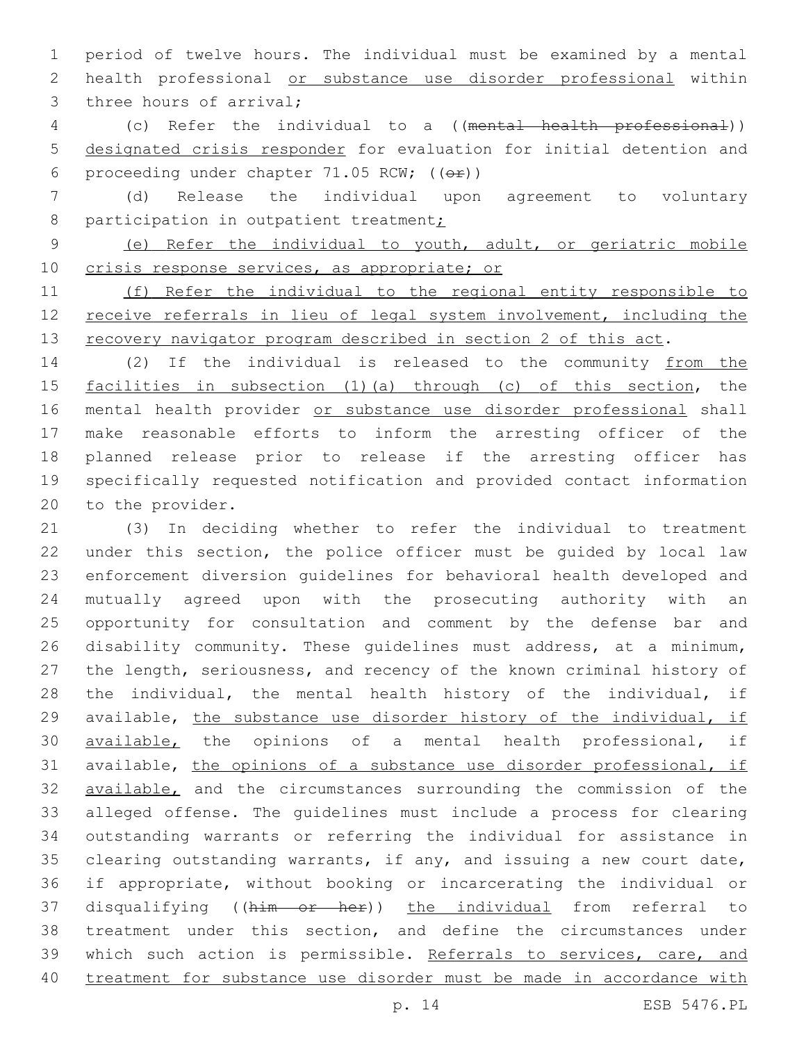period of twelve hours. The individual must be examined by a mental health professional or substance use disorder professional within 3 three hours of arrival;

 (c) Refer the individual to a ((mental health professional)) designated crisis responder for evaluation for initial detention and 6 proceeding under chapter 71.05 RCW;  $((\theta \cdot \hat{r}))$ 

 (d) Release the individual upon agreement to voluntary 8 participation in outpatient treatment;

 (e) Refer the individual to youth, adult, or geriatric mobile crisis response services, as appropriate; or

 (f) Refer the individual to the regional entity responsible to receive referrals in lieu of legal system involvement, including the 13 recovery navigator program described in section 2 of this act.

 (2) If the individual is released to the community from the facilities in subsection (1)(a) through (c) of this section, the mental health provider or substance use disorder professional shall make reasonable efforts to inform the arresting officer of the planned release prior to release if the arresting officer has specifically requested notification and provided contact information 20 to the provider.

 (3) In deciding whether to refer the individual to treatment under this section, the police officer must be guided by local law enforcement diversion guidelines for behavioral health developed and mutually agreed upon with the prosecuting authority with an opportunity for consultation and comment by the defense bar and disability community. These guidelines must address, at a minimum, the length, seriousness, and recency of the known criminal history of the individual, the mental health history of the individual, if available, the substance use disorder history of the individual, if available, the opinions of a mental health professional, if available, the opinions of a substance use disorder professional, if **available,** and the circumstances surrounding the commission of the alleged offense. The guidelines must include a process for clearing outstanding warrants or referring the individual for assistance in clearing outstanding warrants, if any, and issuing a new court date, if appropriate, without booking or incarcerating the individual or disqualifying ((him or her)) the individual from referral to treatment under this section, and define the circumstances under 39 which such action is permissible. Referrals to services, care, and treatment for substance use disorder must be made in accordance with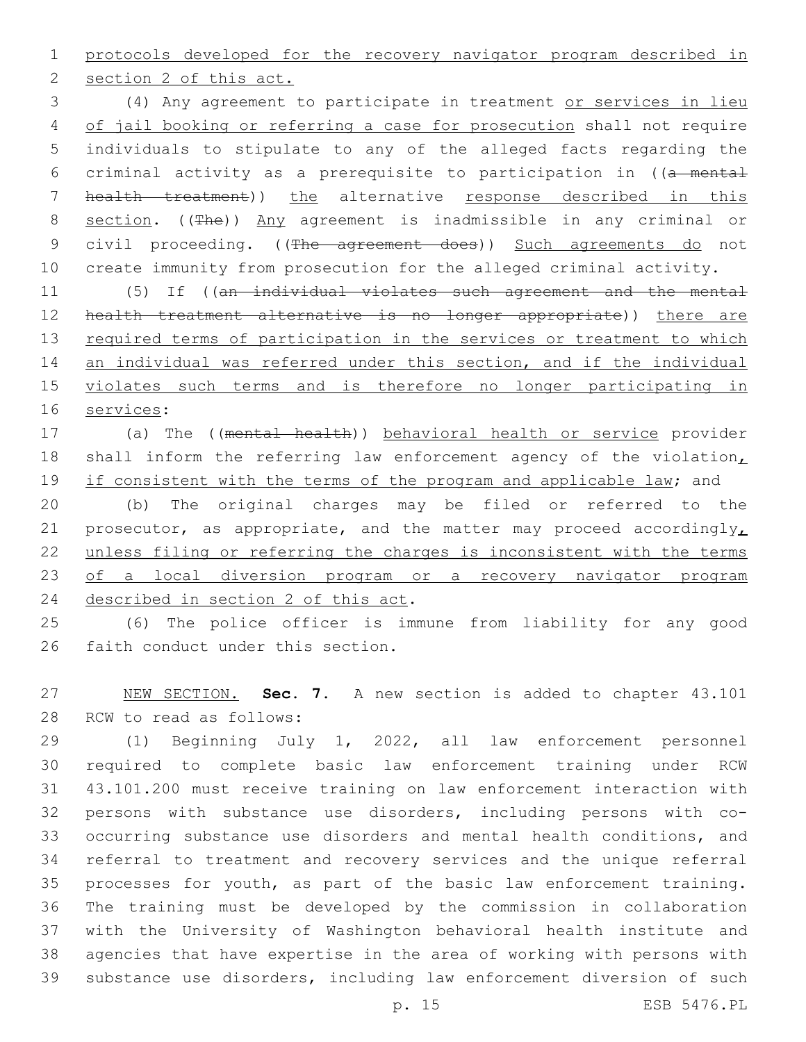protocols developed for the recovery navigator program described in

2 section 2 of this act.

 (4) Any agreement to participate in treatment or services in lieu 4 of jail booking or referring a case for prosecution shall not require individuals to stipulate to any of the alleged facts regarding the criminal activity as a prerequisite to participation in ((a mental health treatment)) the alternative response described in this 8 section. ((The)) Any agreement is inadmissible in any criminal or 9 civil proceeding. ((The agreement does)) Such agreements do not create immunity from prosecution for the alleged criminal activity.

 (5) If ((an individual violates such agreement and the mental 12 health treatment alternative is no longer appropriate)) there are 13 required terms of participation in the services or treatment to which an individual was referred under this section, and if the individual violates such terms and is therefore no longer participating in 16 services:

 (a) The ((mental health)) behavioral health or service provider 18 shall inform the referring law enforcement agency of the violation, 19 if consistent with the terms of the program and applicable law; and

 (b) The original charges may be filed or referred to the 21 prosecutor, as appropriate, and the matter may proceed accordingly, unless filing or referring the charges is inconsistent with the terms of a local diversion program or a recovery navigator program 24 described in section 2 of this act.

 (6) The police officer is immune from liability for any good 26 faith conduct under this section.

 NEW SECTION. **Sec. 7.** A new section is added to chapter 43.101 28 RCW to read as follows:

 (1) Beginning July 1, 2022, all law enforcement personnel required to complete basic law enforcement training under RCW 43.101.200 must receive training on law enforcement interaction with persons with substance use disorders, including persons with co- occurring substance use disorders and mental health conditions, and referral to treatment and recovery services and the unique referral processes for youth, as part of the basic law enforcement training. The training must be developed by the commission in collaboration with the University of Washington behavioral health institute and agencies that have expertise in the area of working with persons with substance use disorders, including law enforcement diversion of such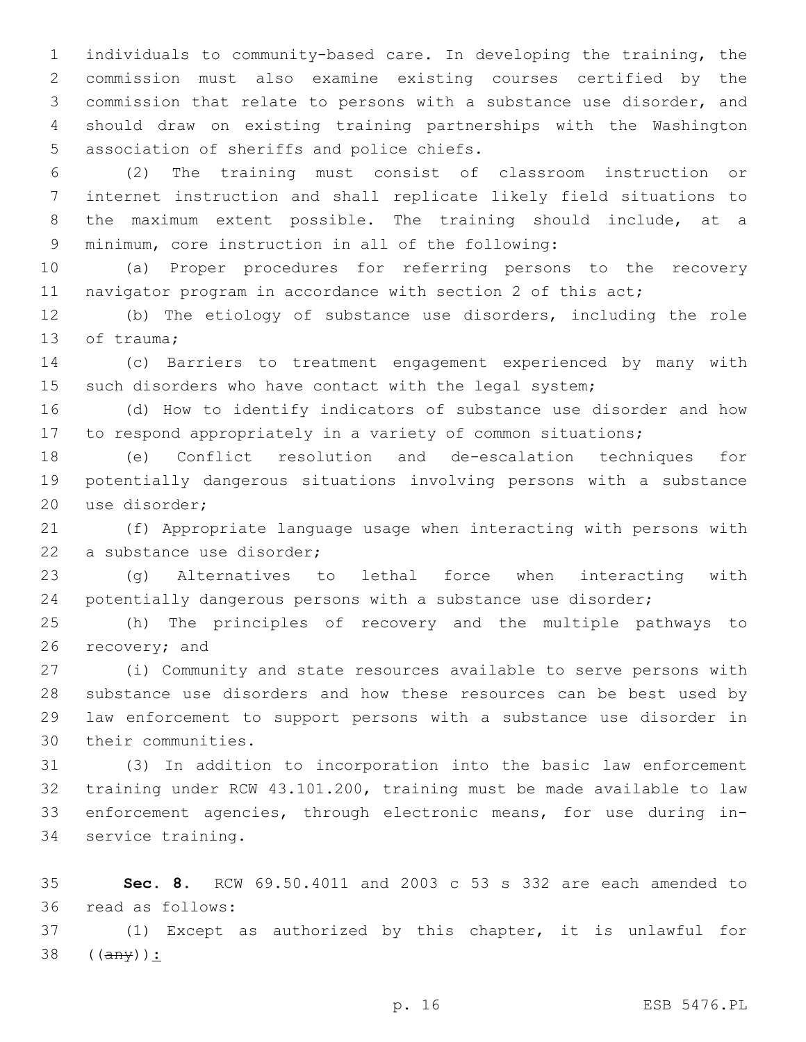individuals to community-based care. In developing the training, the commission must also examine existing courses certified by the commission that relate to persons with a substance use disorder, and should draw on existing training partnerships with the Washington 5 association of sheriffs and police chiefs.

 (2) The training must consist of classroom instruction or internet instruction and shall replicate likely field situations to the maximum extent possible. The training should include, at a 9 minimum, core instruction in all of the following:

 (a) Proper procedures for referring persons to the recovery 11 navigator program in accordance with section 2 of this act;

 (b) The etiology of substance use disorders, including the role 13 of trauma;

 (c) Barriers to treatment engagement experienced by many with 15 such disorders who have contact with the legal system;

 (d) How to identify indicators of substance use disorder and how to respond appropriately in a variety of common situations;

 (e) Conflict resolution and de-escalation techniques for potentially dangerous situations involving persons with a substance 20 use disorder;

 (f) Appropriate language usage when interacting with persons with 22 a substance use disorder;

 (g) Alternatives to lethal force when interacting with potentially dangerous persons with a substance use disorder;

 (h) The principles of recovery and the multiple pathways to 26 recovery; and

 (i) Community and state resources available to serve persons with substance use disorders and how these resources can be best used by law enforcement to support persons with a substance use disorder in 30 their communities.

 (3) In addition to incorporation into the basic law enforcement training under RCW 43.101.200, training must be made available to law enforcement agencies, through electronic means, for use during in-34 service training.

 **Sec. 8.** RCW 69.50.4011 and 2003 c 53 s 332 are each amended to read as follows:36

 (1) Except as authorized by this chapter, it is unlawful for ((any)):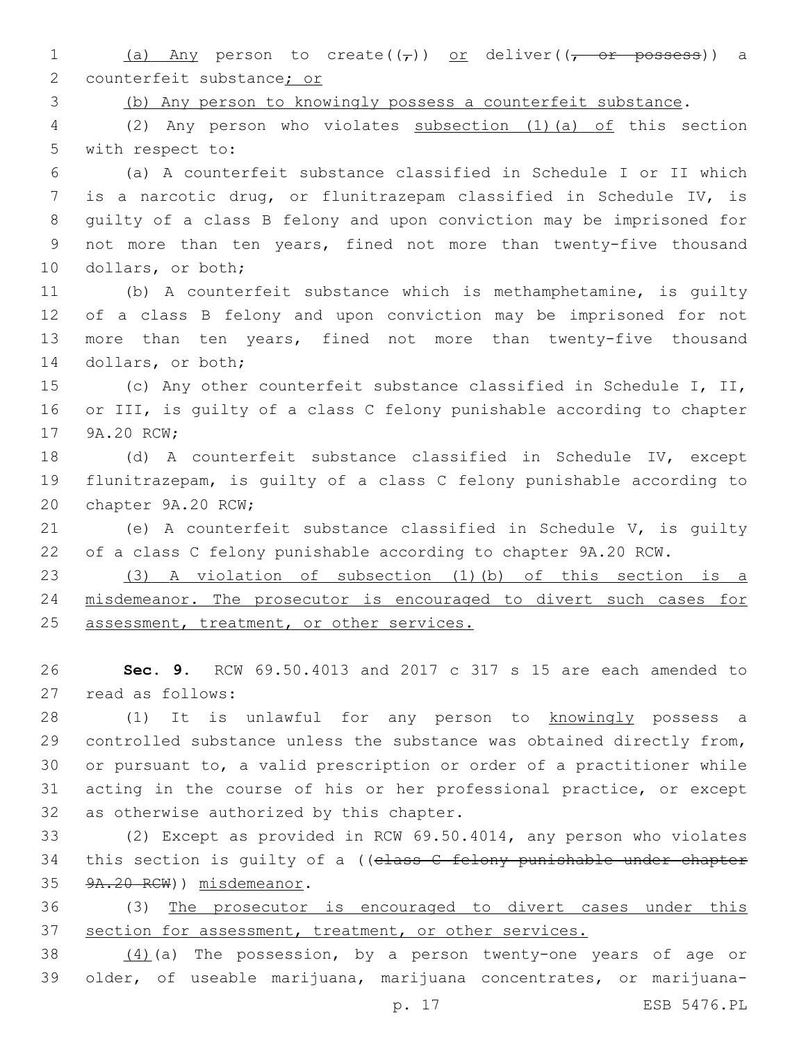1 (a) Any person to create( $(\tau)$ ) or deliver( $(\tau$ ) or possess)) a 2 counterfeit substance; or

(b) Any person to knowingly possess a counterfeit substance.

 (2) Any person who violates subsection (1)(a) of this section 5 with respect to:

 (a) A counterfeit substance classified in Schedule I or II which is a narcotic drug, or flunitrazepam classified in Schedule IV, is guilty of a class B felony and upon conviction may be imprisoned for 9 not more than ten years, fined not more than twenty-five thousand 10 dollars, or both;

 (b) A counterfeit substance which is methamphetamine, is guilty of a class B felony and upon conviction may be imprisoned for not more than ten years, fined not more than twenty-five thousand 14 dollars, or both;

 (c) Any other counterfeit substance classified in Schedule I, II, or III, is guilty of a class C felony punishable according to chapter 17 9A.20 RCW;

 (d) A counterfeit substance classified in Schedule IV, except flunitrazepam, is guilty of a class C felony punishable according to 20 chapter 9A.20 RCW;

 (e) A counterfeit substance classified in Schedule V, is guilty of a class C felony punishable according to chapter 9A.20 RCW.

 (3) A violation of subsection (1)(b) of this section is a misdemeanor. The prosecutor is encouraged to divert such cases for 25 assessment, treatment, or other services.

 **Sec. 9.** RCW 69.50.4013 and 2017 c 317 s 15 are each amended to 27 read as follows:

 (1) It is unlawful for any person to knowingly possess a controlled substance unless the substance was obtained directly from, or pursuant to, a valid prescription or order of a practitioner while acting in the course of his or her professional practice, or except 32 as otherwise authorized by this chapter.

 (2) Except as provided in RCW 69.50.4014, any person who violates 34 this section is guilty of a ((class C felony punishable under chapter 35 9A.20 RCW)) misdemeanor.

 (3) The prosecutor is encouraged to divert cases under this section for assessment, treatment, or other services.

 $(4)(a)$  The possession, by a person twenty-one years of age or older, of useable marijuana, marijuana concentrates, or marijuana-

p. 17 ESB 5476.PL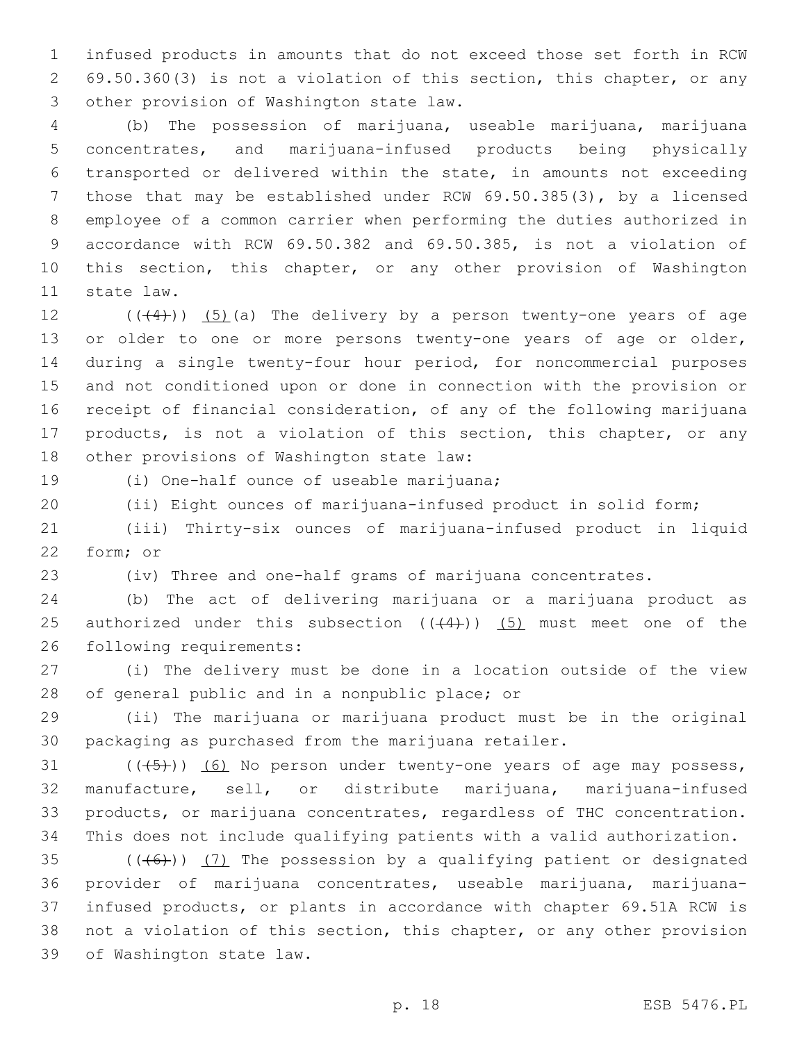infused products in amounts that do not exceed those set forth in RCW 69.50.360(3) is not a violation of this section, this chapter, or any 3 other provision of Washington state law.

 (b) The possession of marijuana, useable marijuana, marijuana concentrates, and marijuana-infused products being physically transported or delivered within the state, in amounts not exceeding those that may be established under RCW 69.50.385(3), by a licensed employee of a common carrier when performing the duties authorized in accordance with RCW 69.50.382 and 69.50.385, is not a violation of this section, this chapter, or any other provision of Washington 11 state law.

12  $((+4))$   $(5)$  (a) The delivery by a person twenty-one years of age 13 or older to one or more persons twenty-one years of age or older, during a single twenty-four hour period, for noncommercial purposes and not conditioned upon or done in connection with the provision or receipt of financial consideration, of any of the following marijuana 17 products, is not a violation of this section, this chapter, or any 18 other provisions of Washington state law:

19 (i) One-half ounce of useable marijuana;

(ii) Eight ounces of marijuana-infused product in solid form;

 (iii) Thirty-six ounces of marijuana-infused product in liquid 22 form; or

(iv) Three and one-half grams of marijuana concentrates.

 (b) The act of delivering marijuana or a marijuana product as 25 authorized under this subsection  $((+4))$   $(5)$  must meet one of the 26 following requirements:

 (i) The delivery must be done in a location outside of the view 28 of general public and in a nonpublic place; or

 (ii) The marijuana or marijuana product must be in the original packaging as purchased from the marijuana retailer.

31 (((45))) (6) No person under twenty-one years of age may possess, manufacture, sell, or distribute marijuana, marijuana-infused products, or marijuana concentrates, regardless of THC concentration. This does not include qualifying patients with a valid authorization.

 $((+6))$   $(7)$  The possession by a qualifying patient or designated provider of marijuana concentrates, useable marijuana, marijuana- infused products, or plants in accordance with chapter 69.51A RCW is not a violation of this section, this chapter, or any other provision 39 of Washington state law.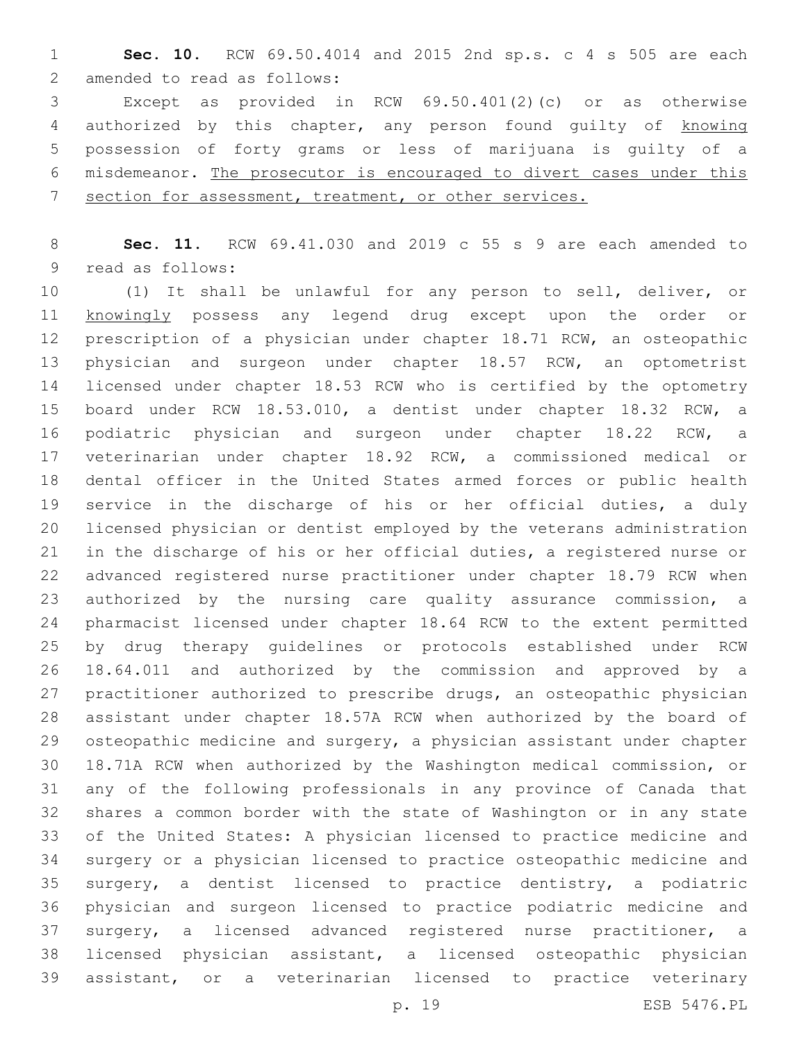**Sec. 10.** RCW 69.50.4014 and 2015 2nd sp.s. c 4 s 505 are each 2 amended to read as follows:

 Except as provided in RCW 69.50.401(2)(c) or as otherwise 4 authorized by this chapter, any person found quilty of knowing possession of forty grams or less of marijuana is guilty of a misdemeanor. The prosecutor is encouraged to divert cases under this section for assessment, treatment, or other services.

 **Sec. 11.** RCW 69.41.030 and 2019 c 55 s 9 are each amended to 9 read as follows:

 (1) It shall be unlawful for any person to sell, deliver, or knowingly possess any legend drug except upon the order or prescription of a physician under chapter 18.71 RCW, an osteopathic physician and surgeon under chapter 18.57 RCW, an optometrist licensed under chapter 18.53 RCW who is certified by the optometry board under RCW 18.53.010, a dentist under chapter 18.32 RCW, a podiatric physician and surgeon under chapter 18.22 RCW, a veterinarian under chapter 18.92 RCW, a commissioned medical or dental officer in the United States armed forces or public health service in the discharge of his or her official duties, a duly licensed physician or dentist employed by the veterans administration in the discharge of his or her official duties, a registered nurse or advanced registered nurse practitioner under chapter 18.79 RCW when authorized by the nursing care quality assurance commission, a pharmacist licensed under chapter 18.64 RCW to the extent permitted by drug therapy guidelines or protocols established under RCW 18.64.011 and authorized by the commission and approved by a practitioner authorized to prescribe drugs, an osteopathic physician assistant under chapter 18.57A RCW when authorized by the board of 29 osteopathic medicine and surgery, a physician assistant under chapter 18.71A RCW when authorized by the Washington medical commission, or any of the following professionals in any province of Canada that shares a common border with the state of Washington or in any state of the United States: A physician licensed to practice medicine and surgery or a physician licensed to practice osteopathic medicine and surgery, a dentist licensed to practice dentistry, a podiatric physician and surgeon licensed to practice podiatric medicine and surgery, a licensed advanced registered nurse practitioner, a licensed physician assistant, a licensed osteopathic physician assistant, or a veterinarian licensed to practice veterinary

p. 19 ESB 5476.PL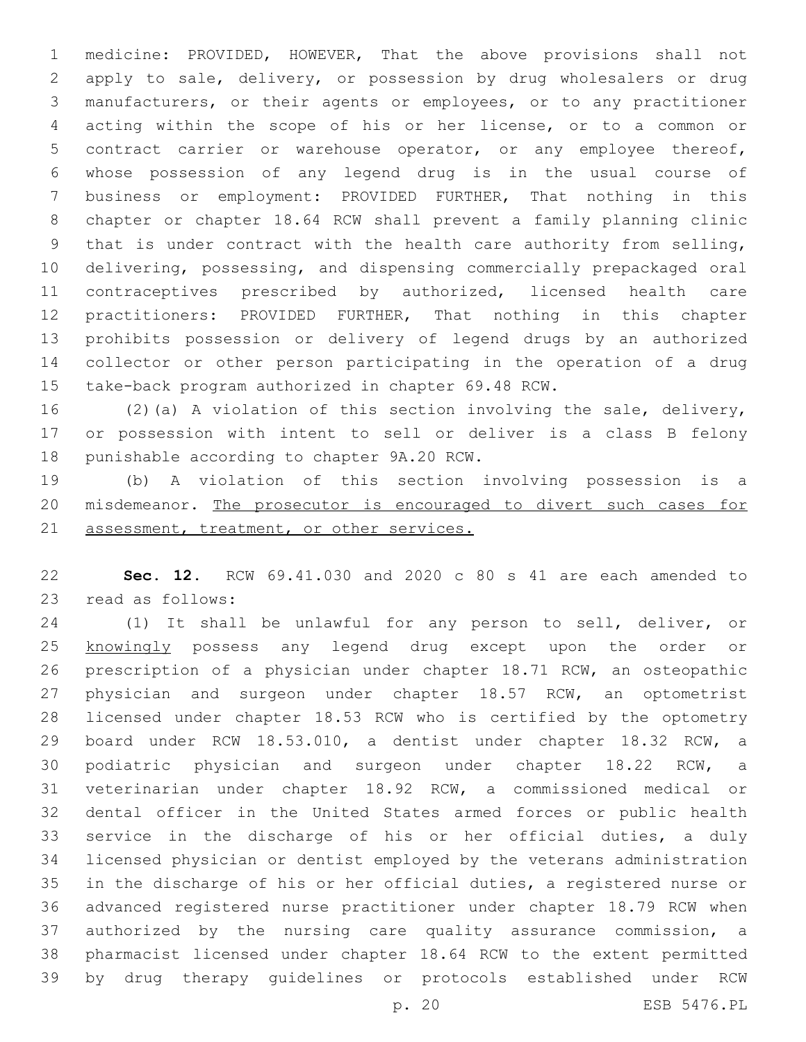medicine: PROVIDED, HOWEVER, That the above provisions shall not apply to sale, delivery, or possession by drug wholesalers or drug manufacturers, or their agents or employees, or to any practitioner acting within the scope of his or her license, or to a common or contract carrier or warehouse operator, or any employee thereof, whose possession of any legend drug is in the usual course of business or employment: PROVIDED FURTHER, That nothing in this chapter or chapter 18.64 RCW shall prevent a family planning clinic that is under contract with the health care authority from selling, delivering, possessing, and dispensing commercially prepackaged oral contraceptives prescribed by authorized, licensed health care practitioners: PROVIDED FURTHER, That nothing in this chapter prohibits possession or delivery of legend drugs by an authorized collector or other person participating in the operation of a drug take-back program authorized in chapter 69.48 RCW.

 (2)(a) A violation of this section involving the sale, delivery, or possession with intent to sell or deliver is a class B felony 18 punishable according to chapter 9A.20 RCW.

 (b) A violation of this section involving possession is a 20 misdemeanor. The prosecutor is encouraged to divert such cases for 21 assessment, treatment, or other services.

 **Sec. 12.** RCW 69.41.030 and 2020 c 80 s 41 are each amended to 23 read as follows:

 (1) It shall be unlawful for any person to sell, deliver, or 25 knowingly possess any legend drug except upon the order or prescription of a physician under chapter 18.71 RCW, an osteopathic physician and surgeon under chapter 18.57 RCW, an optometrist licensed under chapter 18.53 RCW who is certified by the optometry board under RCW 18.53.010, a dentist under chapter 18.32 RCW, a podiatric physician and surgeon under chapter 18.22 RCW, a veterinarian under chapter 18.92 RCW, a commissioned medical or dental officer in the United States armed forces or public health service in the discharge of his or her official duties, a duly licensed physician or dentist employed by the veterans administration in the discharge of his or her official duties, a registered nurse or advanced registered nurse practitioner under chapter 18.79 RCW when authorized by the nursing care quality assurance commission, a pharmacist licensed under chapter 18.64 RCW to the extent permitted by drug therapy guidelines or protocols established under RCW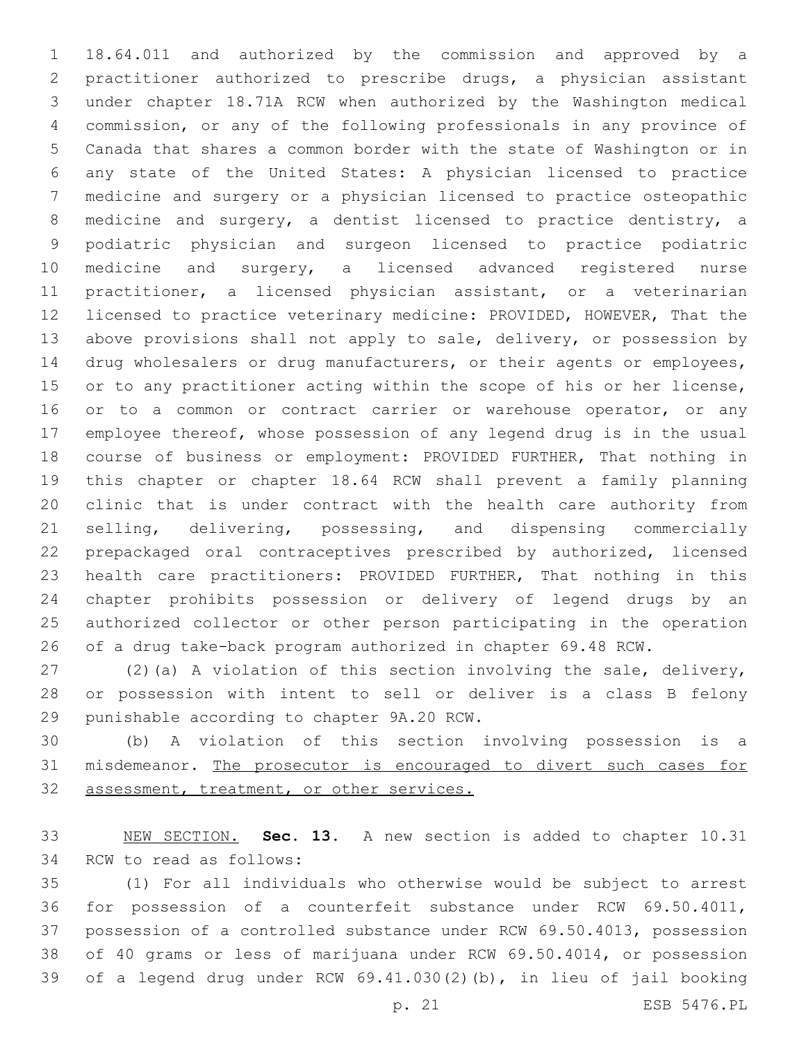18.64.011 and authorized by the commission and approved by a practitioner authorized to prescribe drugs, a physician assistant under chapter 18.71A RCW when authorized by the Washington medical commission, or any of the following professionals in any province of Canada that shares a common border with the state of Washington or in any state of the United States: A physician licensed to practice medicine and surgery or a physician licensed to practice osteopathic medicine and surgery, a dentist licensed to practice dentistry, a podiatric physician and surgeon licensed to practice podiatric medicine and surgery, a licensed advanced registered nurse practitioner, a licensed physician assistant, or a veterinarian licensed to practice veterinary medicine: PROVIDED, HOWEVER, That the above provisions shall not apply to sale, delivery, or possession by 14 drug wholesalers or drug manufacturers, or their agents or employees, 15 or to any practitioner acting within the scope of his or her license, 16 or to a common or contract carrier or warehouse operator, or any employee thereof, whose possession of any legend drug is in the usual course of business or employment: PROVIDED FURTHER, That nothing in this chapter or chapter 18.64 RCW shall prevent a family planning clinic that is under contract with the health care authority from selling, delivering, possessing, and dispensing commercially prepackaged oral contraceptives prescribed by authorized, licensed health care practitioners: PROVIDED FURTHER, That nothing in this chapter prohibits possession or delivery of legend drugs by an authorized collector or other person participating in the operation of a drug take-back program authorized in chapter 69.48 RCW.

 (2)(a) A violation of this section involving the sale, delivery, or possession with intent to sell or deliver is a class B felony 29 punishable according to chapter 9A.20 RCW.

 (b) A violation of this section involving possession is a misdemeanor. The prosecutor is encouraged to divert such cases for 32 assessment, treatment, or other services.

 NEW SECTION. **Sec. 13.** A new section is added to chapter 10.31 34 RCW to read as follows:

 (1) For all individuals who otherwise would be subject to arrest for possession of a counterfeit substance under RCW 69.50.4011, possession of a controlled substance under RCW 69.50.4013, possession of 40 grams or less of marijuana under RCW 69.50.4014, or possession of a legend drug under RCW 69.41.030(2)(b), in lieu of jail booking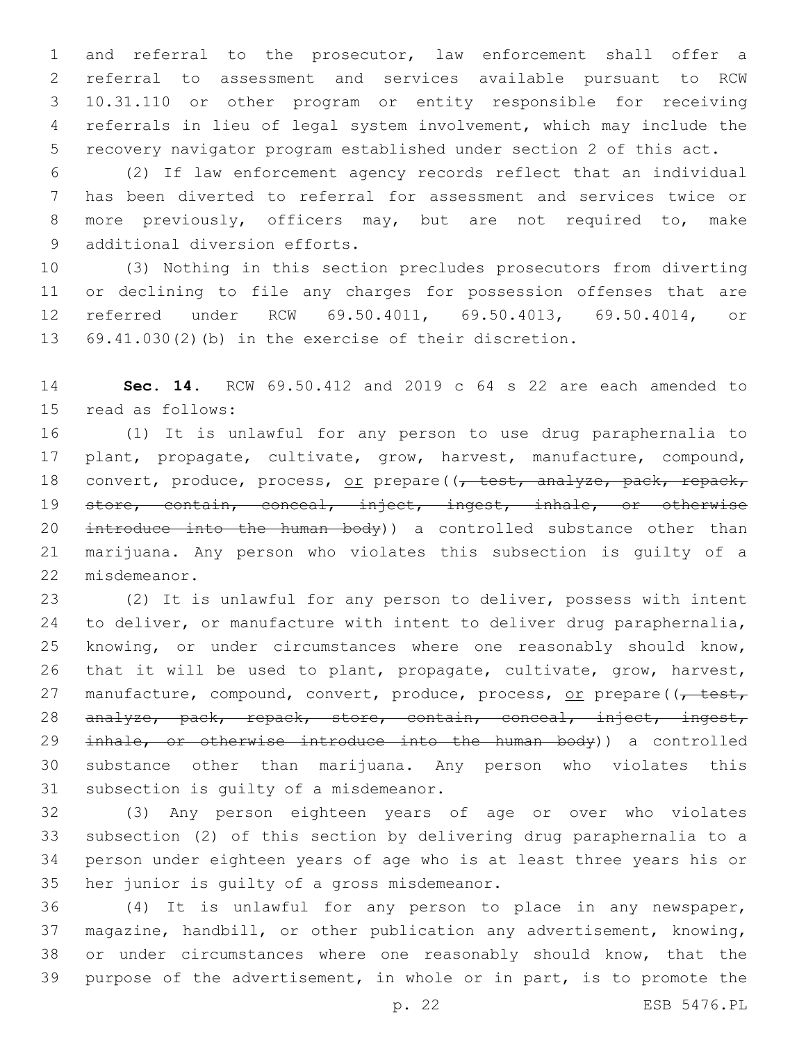and referral to the prosecutor, law enforcement shall offer a referral to assessment and services available pursuant to RCW 10.31.110 or other program or entity responsible for receiving referrals in lieu of legal system involvement, which may include the recovery navigator program established under section 2 of this act.

 (2) If law enforcement agency records reflect that an individual has been diverted to referral for assessment and services twice or more previously, officers may, but are not required to, make 9 additional diversion efforts.

 (3) Nothing in this section precludes prosecutors from diverting or declining to file any charges for possession offenses that are referred under RCW 69.50.4011, 69.50.4013, 69.50.4014, or 69.41.030(2)(b) in the exercise of their discretion.

 **Sec. 14.** RCW 69.50.412 and 2019 c 64 s 22 are each amended to 15 read as follows:

 (1) It is unlawful for any person to use drug paraphernalia to plant, propagate, cultivate, grow, harvest, manufacture, compound, 18 convert, produce, process, or prepare((, test, analyze, pack, repack, store, contain, conceal, inject, ingest, inhale, or otherwise 20 introduce into the human body)) a controlled substance other than marijuana. Any person who violates this subsection is guilty of a 22 misdemeanor.

 (2) It is unlawful for any person to deliver, possess with intent to deliver, or manufacture with intent to deliver drug paraphernalia, knowing, or under circumstances where one reasonably should know, that it will be used to plant, propagate, cultivate, grow, harvest, 27 manufacture, compound, convert, produce, process, or prepare((, test, analyze, pack, repack, store, contain, conceal, inject, ingest, 29 inhale, or otherwise introduce into the human body)) a controlled substance other than marijuana. Any person who violates this 31 subsection is quilty of a misdemeanor.

 (3) Any person eighteen years of age or over who violates subsection (2) of this section by delivering drug paraphernalia to a person under eighteen years of age who is at least three years his or 35 her junior is quilty of a gross misdemeanor.

 (4) It is unlawful for any person to place in any newspaper, magazine, handbill, or other publication any advertisement, knowing, or under circumstances where one reasonably should know, that the purpose of the advertisement, in whole or in part, is to promote the

p. 22 ESB 5476.PL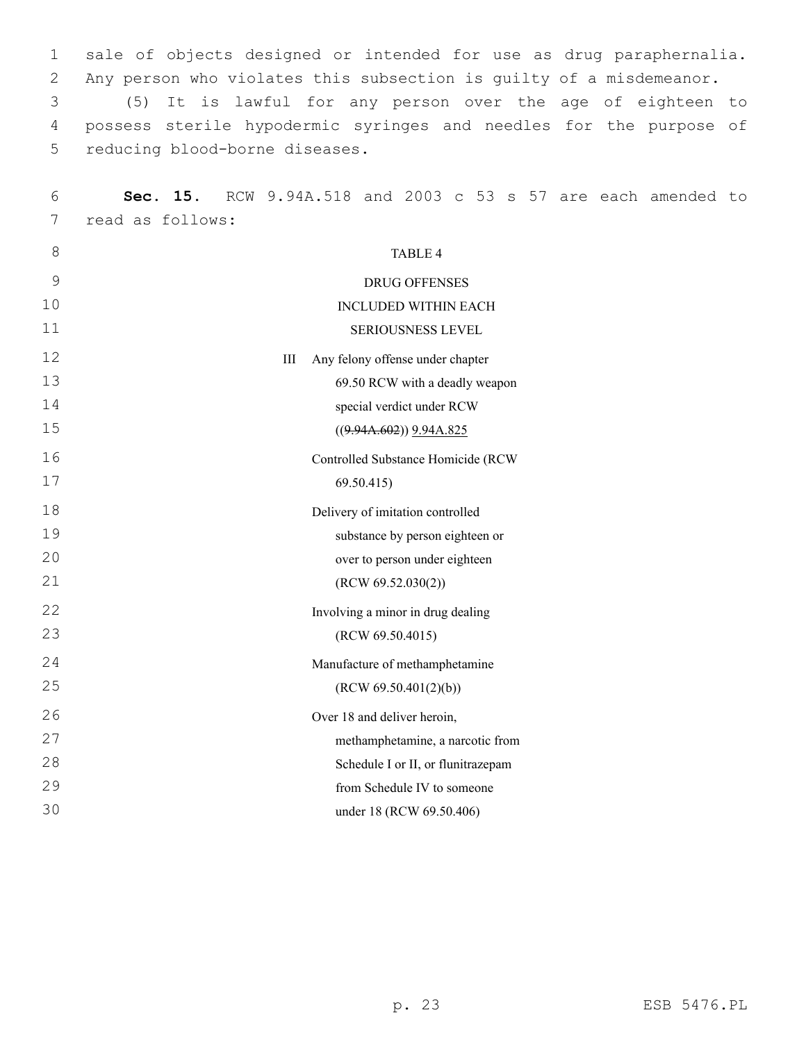1 sale of objects designed or intended for use as drug paraphernalia. 2 Any person who violates this subsection is guilty of a misdemeanor.

3 (5) It is lawful for any person over the age of eighteen to 4 possess sterile hypodermic syringes and needles for the purpose of 5 reducing blood-borne diseases.

| 6             | Sec. 15.         |     |                  |                                    |  |  | RCW 9.94A.518 and 2003 c 53 s 57 are each amended to |  |
|---------------|------------------|-----|------------------|------------------------------------|--|--|------------------------------------------------------|--|
| 7             | read as follows: |     |                  |                                    |  |  |                                                      |  |
| 8             |                  |     |                  | <b>TABLE 4</b>                     |  |  |                                                      |  |
| $\mathcal{G}$ |                  |     |                  | <b>DRUG OFFENSES</b>               |  |  |                                                      |  |
| 10            |                  |     |                  | <b>INCLUDED WITHIN EACH</b>        |  |  |                                                      |  |
| 11            |                  |     |                  | SERIOUSNESS LEVEL                  |  |  |                                                      |  |
| 12            |                  | III |                  | Any felony offense under chapter   |  |  |                                                      |  |
| 13            |                  |     |                  | 69.50 RCW with a deadly weapon     |  |  |                                                      |  |
| 14            |                  |     |                  | special verdict under RCW          |  |  |                                                      |  |
| 15            |                  |     |                  | $((9.94A.602))$ $9.94A.825$        |  |  |                                                      |  |
| 16            |                  |     |                  | Controlled Substance Homicide (RCW |  |  |                                                      |  |
| 17            |                  |     | 69.50.415        |                                    |  |  |                                                      |  |
| 18            |                  |     |                  | Delivery of imitation controlled   |  |  |                                                      |  |
| 19            |                  |     |                  | substance by person eighteen or    |  |  |                                                      |  |
| 20            |                  |     |                  | over to person under eighteen      |  |  |                                                      |  |
| 21            |                  |     |                  | (RCW 69.52.030(2))                 |  |  |                                                      |  |
| 22            |                  |     |                  | Involving a minor in drug dealing  |  |  |                                                      |  |
| 23            |                  |     | (RCW 69.50.4015) |                                    |  |  |                                                      |  |
| 24            |                  |     |                  | Manufacture of methamphetamine     |  |  |                                                      |  |
| 25            |                  |     |                  | (RCW 69.50.401(2)(b))              |  |  |                                                      |  |
| 26            |                  |     |                  | Over 18 and deliver heroin,        |  |  |                                                      |  |
| 27            |                  |     |                  | methamphetamine, a narcotic from   |  |  |                                                      |  |
| 28            |                  |     |                  | Schedule I or II, or flunitrazepam |  |  |                                                      |  |
| 29            |                  |     |                  | from Schedule IV to someone        |  |  |                                                      |  |
| 30            |                  |     |                  | under 18 (RCW 69.50.406)           |  |  |                                                      |  |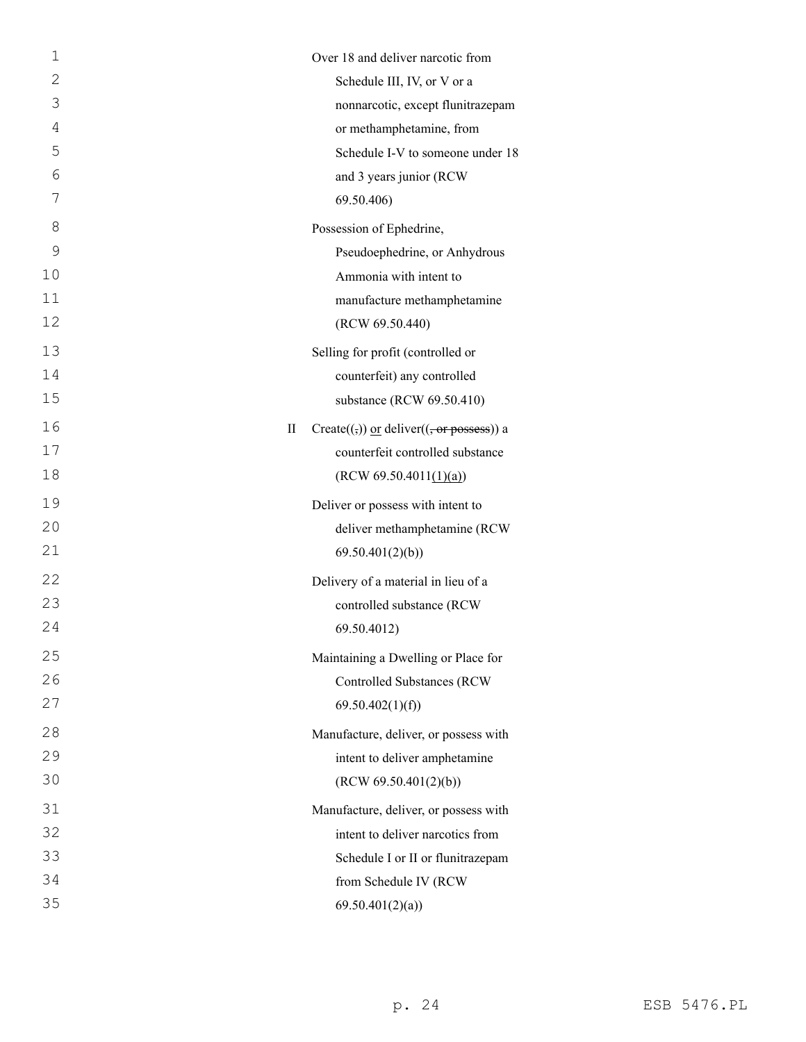| $\mathbf 1$    |   | Over 18 and deliver narcotic from                                                            |
|----------------|---|----------------------------------------------------------------------------------------------|
| $\mathbf{2}$   |   | Schedule III, IV, or V or a                                                                  |
| 3              |   | nonnarcotic, except flunitrazepam                                                            |
| $\overline{4}$ |   | or methamphetamine, from                                                                     |
| 5              |   | Schedule I-V to someone under 18                                                             |
| 6              |   | and 3 years junior (RCW                                                                      |
| 7              |   | 69.50.406)                                                                                   |
| 8              |   | Possession of Ephedrine,                                                                     |
| 9              |   | Pseudoephedrine, or Anhydrous                                                                |
| 10             |   | Ammonia with intent to                                                                       |
| 11             |   | manufacture methamphetamine                                                                  |
| 12             |   | (RCW 69.50.440)                                                                              |
| 13             |   | Selling for profit (controlled or                                                            |
| 14             |   | counterfeit) any controlled                                                                  |
| 15             |   | substance (RCW 69.50.410)                                                                    |
| 16             | П | Create( $\left(\frac{1}{2}\right)$ ) or deliver( $\left(\frac{1}{2} \text{ or }$ possess)) a |
| 17             |   | counterfeit controlled substance                                                             |
| 18             |   | (RCW 69.50.4011(1)(a))                                                                       |
| 19             |   | Deliver or possess with intent to                                                            |
| 20             |   | deliver methamphetamine (RCW                                                                 |
| 21             |   | 69.50.401(2)(b)                                                                              |
| 22             |   | Delivery of a material in lieu of a                                                          |
| 23             |   | controlled substance (RCW                                                                    |
| 24             |   | 69.50.4012)                                                                                  |
| 25             |   | Maintaining a Dwelling or Place for                                                          |
| 26             |   | <b>Controlled Substances (RCW</b>                                                            |
| 27             |   | 69.50.402(1)(f)                                                                              |
| 28             |   | Manufacture, deliver, or possess with                                                        |
| 29             |   | intent to deliver amphetamine                                                                |
| 30             |   | (RCW 69.50.401(2)(b))                                                                        |
| 31             |   | Manufacture, deliver, or possess with                                                        |
| 32             |   | intent to deliver narcotics from                                                             |
| 33             |   | Schedule I or II or flunitrazepam                                                            |
| 34             |   | from Schedule IV (RCW                                                                        |
| 35             |   | 69.50.401(2)(a)                                                                              |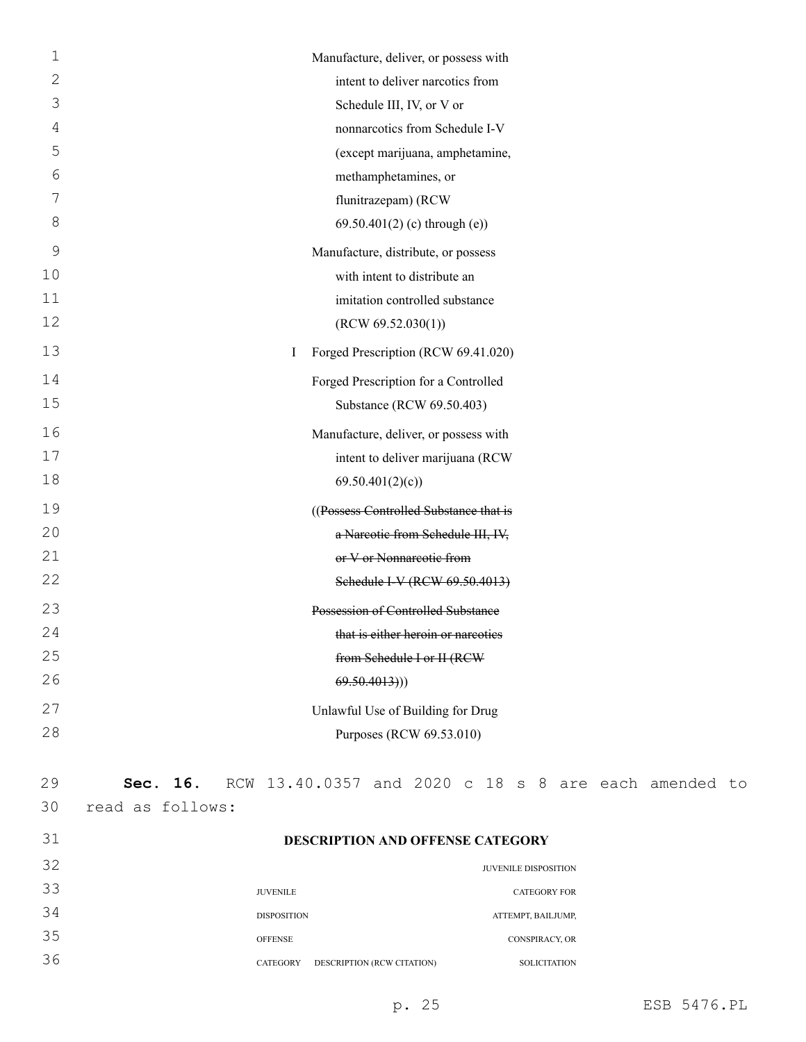| 1           | Manufacture, deliver, or possess with    |
|-------------|------------------------------------------|
| 2           | intent to deliver narcotics from         |
| 3           | Schedule III, IV, or V or                |
| 4           | nonnarcotics from Schedule I-V           |
| 5           | (except marijuana, amphetamine,          |
| 6           | methamphetamines, or                     |
| 7           | flunitrazepam) (RCW                      |
| 8           | $69.50.401(2)$ (c) through (e))          |
| $\mathsf 9$ | Manufacture, distribute, or possess      |
| 10          | with intent to distribute an             |
| 11          | imitation controlled substance           |
| 12          | (RCW 69.52.030(1))                       |
| 13          | Forged Prescription (RCW 69.41.020)<br>L |
| 14          | Forged Prescription for a Controlled     |
| 15          | Substance (RCW 69.50.403)                |
| 16          | Manufacture, deliver, or possess with    |
| 17          | intent to deliver marijuana (RCW         |
| 18          | 69.50.401(2)(c)                          |
| 19          | ((Possess Controlled Substance that is   |
| 20          | a Nareotic from Schedule III, IV,        |
| 21          | or V or Nonnarcotic from                 |
| 22          | Schedule I-V (RCW 69.50.4013)            |
| 23          | Possession of Controlled Substance       |
| 24          | that is either heroin or nareoties       |
| 25          | from Schedule I or II (RCW               |
| 26          | 69.50.4013))                             |
| 27          | Unlawful Use of Building for Drug        |
| 28          | Purposes (RCW 69.53.010)                 |
|             |                                          |
|             |                                          |

| 30<br>read as follows:<br>31<br><b>DESCRIPTION AND OFFENSE CATEGORY</b><br>32<br><b>JUVENILE DISPOSITION</b><br>33<br><b>JUVENILE</b><br><b>CATEGORY FOR</b><br>34<br><b>DISPOSITION</b><br>ATTEMPT, BAILJUMP,<br>35<br><b>OFFENSE</b><br><b>CONSPIRACY, OR</b><br>36<br>DESCRIPTION (RCW CITATION)<br><b>CATEGORY</b><br><b>SOLICITATION</b> | 29 |  | <b>Sec. 16.</b> RCW 13.40.0357 and 2020 c 18 s 8 are each amended to |  |  |  |  |  |
|-----------------------------------------------------------------------------------------------------------------------------------------------------------------------------------------------------------------------------------------------------------------------------------------------------------------------------------------------|----|--|----------------------------------------------------------------------|--|--|--|--|--|
|                                                                                                                                                                                                                                                                                                                                               |    |  |                                                                      |  |  |  |  |  |
|                                                                                                                                                                                                                                                                                                                                               |    |  |                                                                      |  |  |  |  |  |
|                                                                                                                                                                                                                                                                                                                                               |    |  |                                                                      |  |  |  |  |  |
|                                                                                                                                                                                                                                                                                                                                               |    |  |                                                                      |  |  |  |  |  |
|                                                                                                                                                                                                                                                                                                                                               |    |  |                                                                      |  |  |  |  |  |
|                                                                                                                                                                                                                                                                                                                                               |    |  |                                                                      |  |  |  |  |  |
|                                                                                                                                                                                                                                                                                                                                               |    |  |                                                                      |  |  |  |  |  |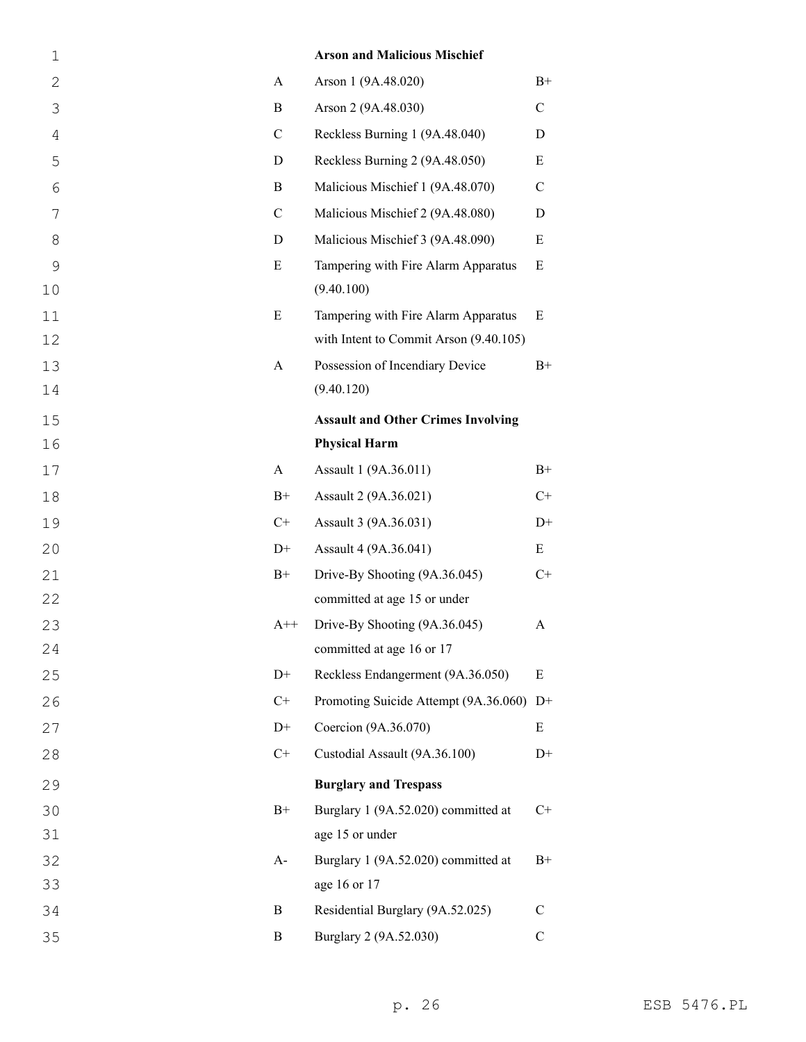| $\mathbf 1$    |               | <b>Arson and Malicious Mischief</b>               |               |
|----------------|---------------|---------------------------------------------------|---------------|
| 2              | A             | Arson 1 (9A.48.020)                               | $B+$          |
| 3              | B             | Arson 2 (9A.48.030)                               | $\mathcal{C}$ |
| $\overline{4}$ | $\mathcal{C}$ | Reckless Burning 1 (9A.48.040)                    | D             |
| 5              | D             | Reckless Burning 2 (9A.48.050)                    | Ε             |
| 6              | B             | Malicious Mischief 1 (9A.48.070)                  | $\mathcal{C}$ |
| 7              | $\mathcal{C}$ | Malicious Mischief 2 (9A.48.080)                  | D             |
| 8              | D             | Malicious Mischief 3 (9A.48.090)                  | E             |
| 9<br>10        | E             | Tampering with Fire Alarm Apparatus<br>(9.40.100) | E             |
| 11             | E             | Tampering with Fire Alarm Apparatus               | E             |
| 12             |               | with Intent to Commit Arson (9.40.105)            |               |
| 13             | A             | Possession of Incendiary Device                   | $B+$          |
| 14             |               | (9.40.120)                                        |               |
| 15             |               | <b>Assault and Other Crimes Involving</b>         |               |
| 16             |               | <b>Physical Harm</b>                              |               |
| 17             | A             | Assault 1 (9A.36.011)                             | $B+$          |
| 18             | $B+$          | Assault 2 (9A.36.021)                             | $C+$          |
| 19             | $C+$          | Assault 3 (9A.36.031)                             | $D+$          |
| 20             | $D+$          | Assault 4 (9A.36.041)                             | E             |
| 21             | $B+$          | Drive-By Shooting (9A.36.045)                     | $C+$          |
| 22             |               | committed at age 15 or under                      |               |
| 23             | $A++$         | Drive-By Shooting (9A.36.045)                     | А             |
| 24             |               | committed at age 16 or 17                         |               |
| 25             | $D+$          | Reckless Endangerment (9A.36.050)                 | E             |
| 26             | $C+$          | Promoting Suicide Attempt (9A.36.060)             | $D+$          |
| 27             | $D+$          | Coercion (9A.36.070)                              | Ε             |
| 28             | $C+$          | Custodial Assault (9A.36.100)                     | $D+$          |
| 29             |               | <b>Burglary and Trespass</b>                      |               |
| 30             | $B+$          | Burglary 1 (9A.52.020) committed at               | $C+$          |
| 31             |               | age 15 or under                                   |               |
| 32             | $A-$          | Burglary 1 (9A.52.020) committed at               | $B+$          |
| 33             |               | age 16 or 17                                      |               |
| 34             | B             | Residential Burglary (9A.52.025)                  | $\mathcal{C}$ |
| 35             | B             | Burglary 2 (9A.52.030)                            | $\mathbf C$   |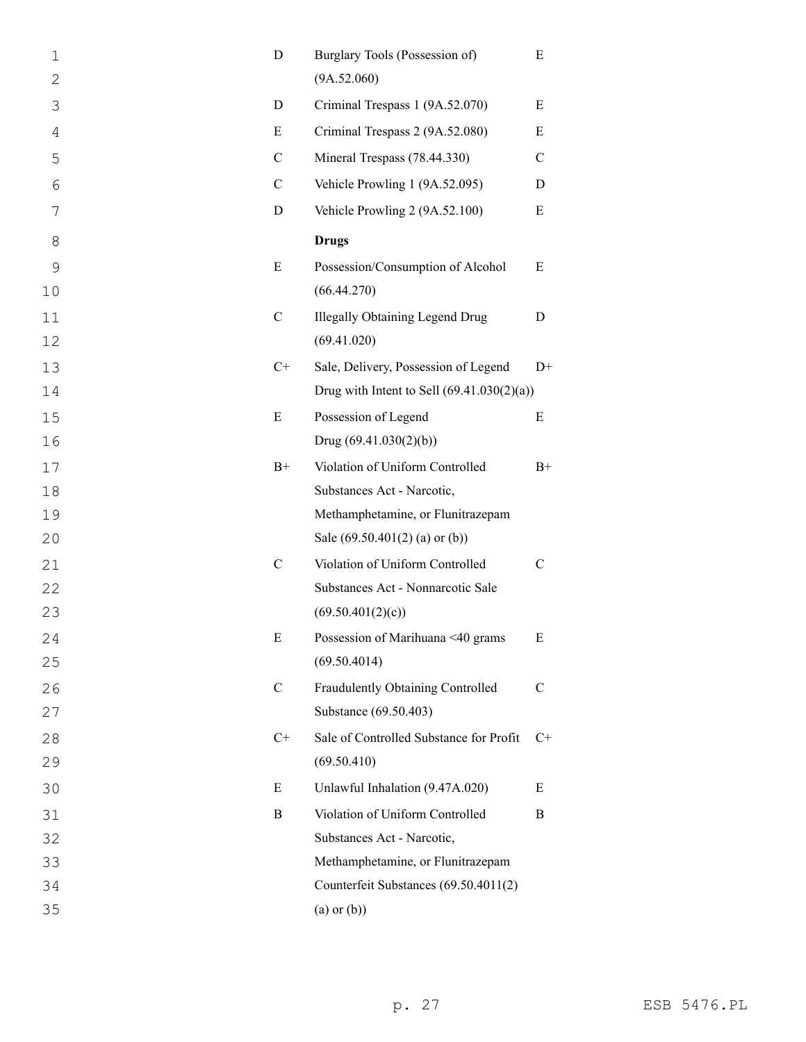| $\mathbf 1$<br>2 | $\mathbf D$   | Burglary Tools (Possession of)<br>(9A.52.060)         | E             |
|------------------|---------------|-------------------------------------------------------|---------------|
| 3                | D             | Criminal Trespass 1 (9A.52.070)                       | Ε             |
| 4                | E             | Criminal Trespass 2 (9A.52.080)                       | E             |
| 5                | $\mathbf C$   | Mineral Trespass (78.44.330)                          | $\mathcal{C}$ |
| 6                | $\mathcal{C}$ | Vehicle Prowling 1 (9A.52.095)                        | D             |
| 7                | D             | Vehicle Prowling 2 (9A.52.100)                        | Ε             |
| 8                |               | <b>Drugs</b>                                          |               |
| 9                | E             | Possession/Consumption of Alcohol                     | E             |
| 10               |               | (66.44.270)                                           |               |
| 11<br>12         | $\mathcal{C}$ | <b>Illegally Obtaining Legend Drug</b><br>(69.41.020) | D             |
| 13               | $C+$          | Sale, Delivery, Possession of Legend                  | $D+$          |
| 14               |               | Drug with Intent to Sell $(69.41.030(2)(a))$          |               |
| 15               | E             | Possession of Legend                                  | Ε             |
| 16               |               | Drug $(69.41.030(2)(b))$                              |               |
| 17               | $B+$          | Violation of Uniform Controlled                       | $B+$          |
| 18               |               | Substances Act - Narcotic,                            |               |
| 19               |               | Methamphetamine, or Flunitrazepam                     |               |
| 20               |               | Sale $(69.50.401(2)$ (a) or (b))                      |               |
| 21               | $\mathcal{C}$ | Violation of Uniform Controlled                       | $\mathcal{C}$ |
| 22               |               | Substances Act - Nonnarcotic Sale                     |               |
| 23               |               | (69.50.401(2)(c))                                     |               |
| 24               | E             | Possession of Marihuana <40 grams                     | E             |
| 25               |               | (69.50.4014)                                          |               |
| 26               | $\mathcal{C}$ | Fraudulently Obtaining Controlled                     | $\mathbf C$   |
| 27               |               | Substance (69.50.403)                                 |               |
| 28               | $C+$          | Sale of Controlled Substance for Profit               | $C_{\pm}$     |
| 29               |               | (69.50.410)                                           |               |
| 30               | E             | Unlawful Inhalation (9.47A.020)                       | Ε             |
| 31               | B             | Violation of Uniform Controlled                       | B             |
| 32               |               | Substances Act - Narcotic,                            |               |
| 33               |               | Methamphetamine, or Flunitrazepam                     |               |
| 34               |               | Counterfeit Substances (69.50.4011(2)                 |               |
| 35               |               | $(a)$ or $(b)$ )                                      |               |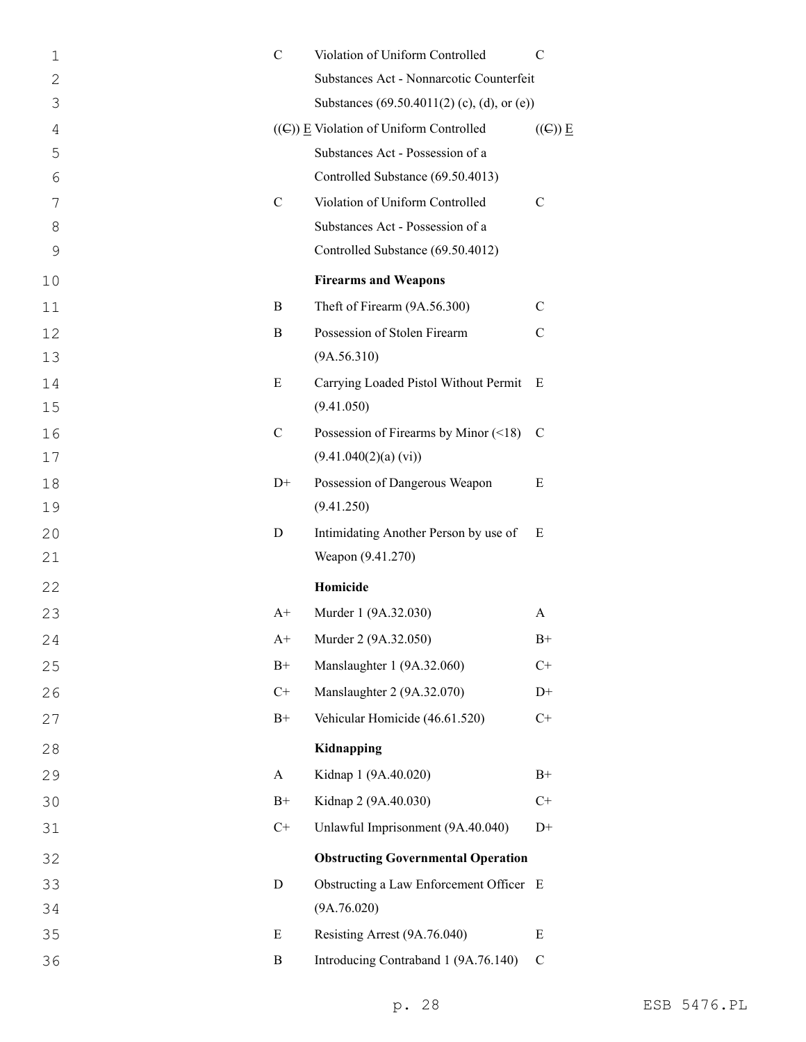| 1            | $\mathcal{C}$ | Violation of Uniform Controlled                | C                          |
|--------------|---------------|------------------------------------------------|----------------------------|
| $\mathbf{2}$ |               | Substances Act - Nonnarcotic Counterfeit       |                            |
| 3            |               | Substances (69.50.4011(2) (c), (d), or (e))    |                            |
| 4            |               | $((\infty))$ E Violation of Uniform Controlled | $((\infty) \underline{E})$ |
| 5            |               | Substances Act - Possession of a               |                            |
| 6            |               | Controlled Substance (69.50.4013)              |                            |
| 7            | $\mathbf C$   | Violation of Uniform Controlled                | $\mathcal{C}$              |
| 8            |               | Substances Act - Possession of a               |                            |
| 9            |               | Controlled Substance (69.50.4012)              |                            |
| 10           |               | <b>Firearms and Weapons</b>                    |                            |
| 11           | B             | Theft of Firearm (9A.56.300)                   | C                          |
| 12           | B             | Possession of Stolen Firearm                   | $\mathcal{C}$              |
| 13           |               | (9A.56.310)                                    |                            |
| 14           | E             | Carrying Loaded Pistol Without Permit          | E                          |
| 15           |               | (9.41.050)                                     |                            |
| 16           | $\mathcal{C}$ | Possession of Firearms by Minor $(\leq 18)$    | C                          |
| 17           |               | (9.41.040(2)(a) (vi))                          |                            |
| 18           | $D+$          | Possession of Dangerous Weapon                 | Ε                          |
| 19           |               | (9.41.250)                                     |                            |
| 20           | D             | Intimidating Another Person by use of          | Ε                          |
| 21           |               | Weapon (9.41.270)                              |                            |
| 22           |               | Homicide                                       |                            |
| 23           | $A+$          | Murder 1 (9A.32.030)                           | A                          |
| 24           | $A+$          | Murder 2 (9A.32.050)                           | $B+$                       |
| 25           | $\rm B+$      | Manslaughter 1 (9A.32.060)                     | $C+$                       |
| 26           | $C+$          | Manslaughter 2 (9A.32.070)                     | $D+$                       |
| 27           | $B+$          | Vehicular Homicide (46.61.520)                 | $C+$                       |
| 28           |               | Kidnapping                                     |                            |
| 29           | $\mathbf{A}$  | Kidnap 1 (9A.40.020)                           | $B+$                       |
| 30           | $B+$          | Kidnap 2 (9A.40.030)                           | $C+$                       |
| 31           | $C+$          | Unlawful Imprisonment (9A.40.040)              | $D+$                       |
| 32           |               | <b>Obstructing Governmental Operation</b>      |                            |
| 33           | D             | Obstructing a Law Enforcement Officer E        |                            |
| 34           |               | (9A.76.020)                                    |                            |
| 35           | E             | Resisting Arrest (9A.76.040)                   | E                          |
| 36           | B             | Introducing Contraband 1 (9A.76.140)           | $\mathbf C$                |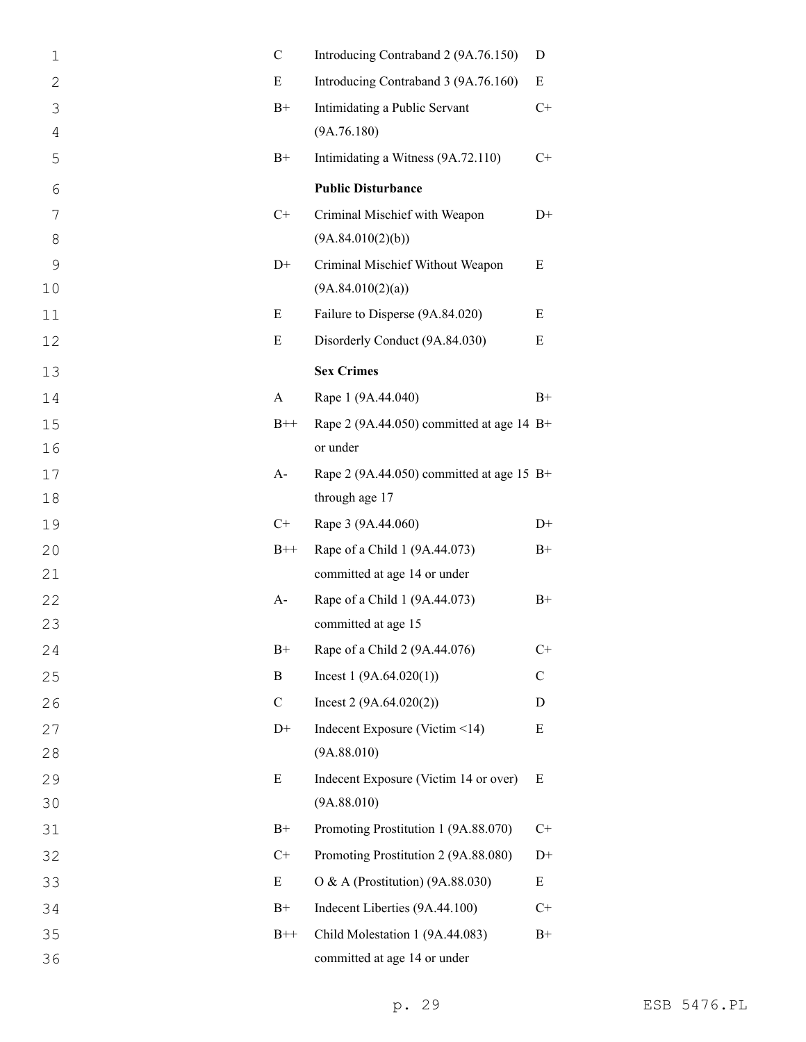| $\mathbf 1$  | $\mathcal{C}$ | Introducing Contraband 2 (9A.76.150)        | D            |
|--------------|---------------|---------------------------------------------|--------------|
| $\mathbf{2}$ | E             | Introducing Contraband 3 (9A.76.160)        | E            |
| 3            | $B+$          | Intimidating a Public Servant               | $C+$         |
| 4            |               | (9A.76.180)                                 |              |
| 5            | $B+$          | Intimidating a Witness (9A.72.110)          | $C+$         |
| 6            |               | <b>Public Disturbance</b>                   |              |
| 7            | $C+$          | Criminal Mischief with Weapon               | $D+$         |
| 8            |               | (9A.84.010(2)(b))                           |              |
| 9            | $D+$          | Criminal Mischief Without Weapon            | E            |
| 10           |               | (9A.84.010(2)(a))                           |              |
| 11           | E             | Failure to Disperse (9A.84.020)             | E            |
| 12           | E             | Disorderly Conduct (9A.84.030)              | Ε            |
| 13           |               | <b>Sex Crimes</b>                           |              |
| 14           | A             | Rape 1 (9A.44.040)                          | $B+$         |
| 15           | $B++$         | Rape 2 (9A.44.050) committed at age 14 B+   |              |
| 16           |               | or under                                    |              |
| 17           | $A-$          | Rape 2 (9A.44.050) committed at age 15 $B+$ |              |
| 18           |               | through age 17                              |              |
| 19           | $C+$          | Rape 3 (9A.44.060)                          | $D+$         |
| 20           | $B++$         | Rape of a Child 1 (9A.44.073)               | $B+$         |
| 21           |               | committed at age 14 or under                |              |
| 22           | $A-$          | Rape of a Child 1 (9A.44.073)               | $B+$         |
| 23           |               | committed at age 15                         |              |
| 24           | $B+$          | Rape of a Child 2 (9A.44.076)               | $C+$         |
| 25           | B             | Incest $1(9A.64.020(1))$                    | $\mathsf{C}$ |
| 26           | $\mathcal{C}$ | Incest $2(9A.64.020(2))$                    | D            |
| 27           | $D+$          | Indecent Exposure (Victim <14)              | E            |
| 28           |               | (9A.88.010)                                 |              |
| 29           | E             | Indecent Exposure (Victim 14 or over)       | E            |
| 30           |               | (9A.88.010)                                 |              |
| 31           | $B+$          | Promoting Prostitution 1 (9A.88.070)        | $C+$         |
| 32           | $C+$          | Promoting Prostitution 2 (9A.88.080)        | $D+$         |
| 33           | E             | O & A (Prostitution) (9A.88.030)            | E            |
| 34           | $B+$          | Indecent Liberties (9A.44.100)              | $C+$         |
| 35           | $B++$         | Child Molestation 1 (9A.44.083)             | $B+$         |
| 36           |               | committed at age 14 or under                |              |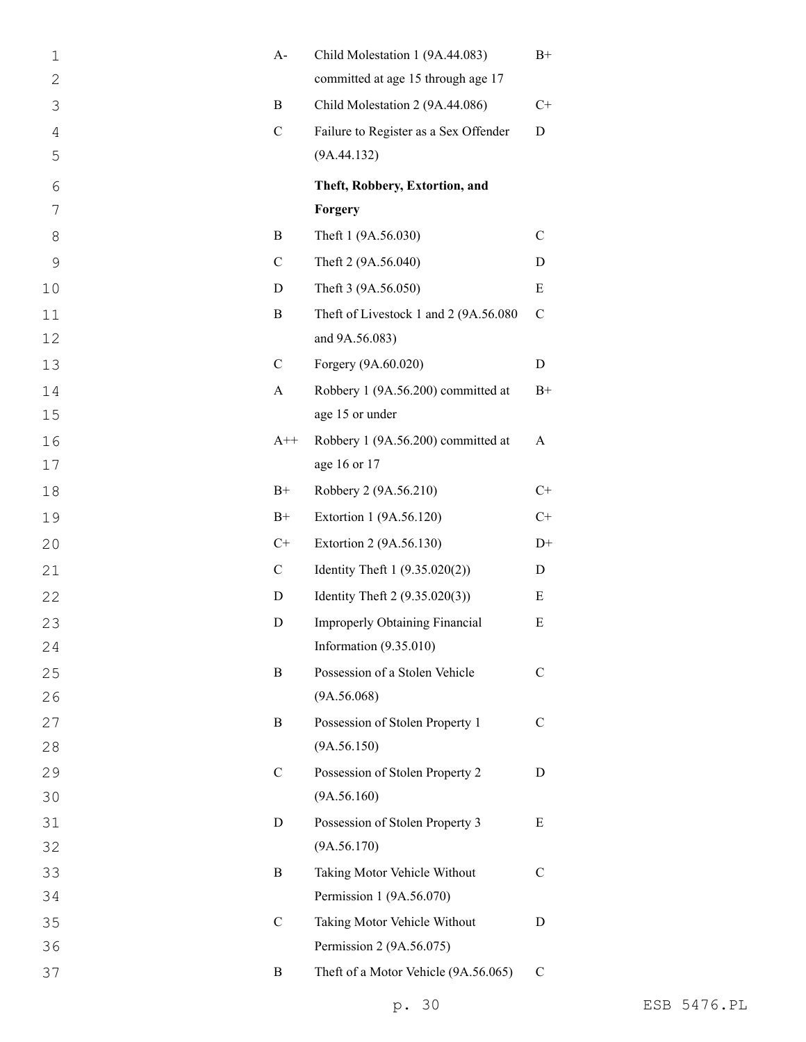| $\mathbf 1$  | $A-$         | Child Molestation 1 (9A.44.083)       | $B+$          |
|--------------|--------------|---------------------------------------|---------------|
| $\mathbf{2}$ |              | committed at age 15 through age 17    |               |
| 3            | B            | Child Molestation 2 (9A.44.086)       | $C+$          |
| 4            | $\mathbf C$  | Failure to Register as a Sex Offender | D             |
| 5            |              | (9A.44.132)                           |               |
| 6            |              | Theft, Robbery, Extortion, and        |               |
| 7            |              | Forgery                               |               |
| 8            | B            | Theft 1 (9A.56.030)                   | $\mathbf C$   |
| 9            | $\mathbf C$  | Theft 2 (9A.56.040)                   | D             |
| 10           | D            | Theft 3 (9A.56.050)                   | $\mathbf E$   |
| 11           | $\bf{B}$     | Theft of Livestock 1 and 2 (9A.56.080 | $\mathbf C$   |
| 12           |              | and 9A.56.083)                        |               |
| 13           | $\mathbf C$  | Forgery (9A.60.020)                   | D             |
| 14           | $\mathbf{A}$ | Robbery 1 (9A.56.200) committed at    | $B+$          |
| 15           |              | age 15 or under                       |               |
| 16           | $A++$        | Robbery 1 (9A.56.200) committed at    | A             |
| 17           |              | age 16 or 17                          |               |
| 18           | $B+$         | Robbery 2 (9A.56.210)                 | $C+$          |
| 19           | $B+$         | Extortion 1 (9A.56.120)               | $C+$          |
| 20           | $C+$         | Extortion 2 (9A.56.130)               | $D+$          |
| 21           | $\mathbf C$  | Identity Theft $1 (9.35.020(2))$      | D             |
| 22           | D            | Identity Theft $2(9.35.020(3))$       | E             |
| 23           | D            | <b>Improperly Obtaining Financial</b> | Ε             |
| 24           |              | Information (9.35.010)                |               |
| 25           | B            | Possession of a Stolen Vehicle        | C             |
| 26           |              | (9A.56.068)                           |               |
| 27           | B            | Possession of Stolen Property 1       | $\mathcal{C}$ |
| 28           |              | (9A.56.150)                           |               |
| 29           | $\mathbf C$  | Possession of Stolen Property 2       | D             |
| 30           |              | (9A.56.160)                           |               |
| 31           | D            | Possession of Stolen Property 3       | Ε             |
| 32           |              | (9A.56.170)                           |               |
| 33           | B            | Taking Motor Vehicle Without          | $\mathcal{C}$ |
| 34           |              | Permission 1 (9A.56.070)              |               |
| 35           | $\mathbf C$  | Taking Motor Vehicle Without          | D             |
| 36           |              | Permission 2 (9A.56.075)              |               |
| 37           | B            | Theft of a Motor Vehicle (9A.56.065)  | $\mathsf{C}$  |
|              |              |                                       |               |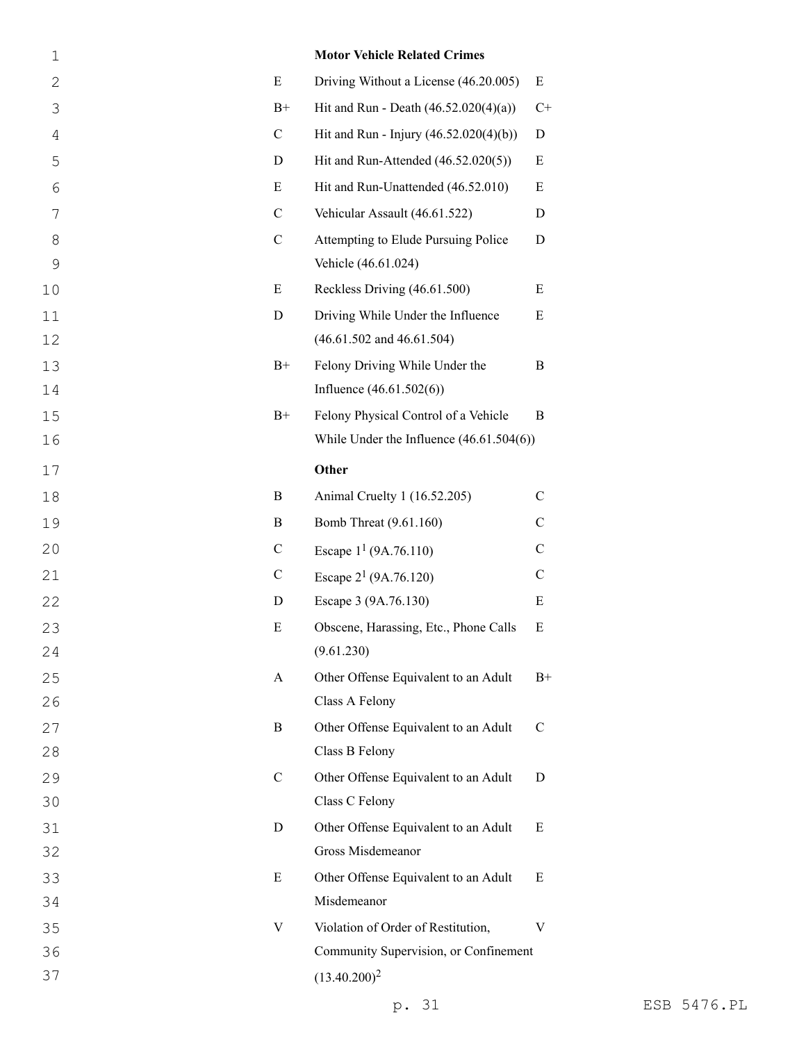| $\mathbf 1$ |               | <b>Motor Vehicle Related Crimes</b>        |               |
|-------------|---------------|--------------------------------------------|---------------|
| 2           | $\mathbf E$   | Driving Without a License (46.20.005)      | Ε             |
| 3           | $B+$          | Hit and Run - Death $(46.52.020(4)(a))$    | $C+$          |
| 4           | $\mathcal{C}$ | Hit and Run - Injury (46.52.020(4)(b))     | D             |
| 5           | D             | Hit and Run-Attended (46.52.020(5))        | E             |
| 6           | E             | Hit and Run-Unattended (46.52.010)         | E             |
| 7           | $\mathcal{C}$ | Vehicular Assault (46.61.522)              | D             |
| 8           | $\mathbf C$   | Attempting to Elude Pursuing Police        | D             |
| 9           |               | Vehicle (46.61.024)                        |               |
| 10          | E             | Reckless Driving (46.61.500)               | E             |
| 11          | D             | Driving While Under the Influence          | E             |
| 12          |               | $(46.61.502$ and $46.61.504)$              |               |
| 13          | $B+$          | Felony Driving While Under the             | B             |
| 14          |               | Influence $(46.61.502(6))$                 |               |
| 15          | $B+$          | Felony Physical Control of a Vehicle       | B             |
| 16          |               | While Under the Influence $(46.61.504(6))$ |               |
| 17          |               | Other                                      |               |
| 18          | B             | Animal Cruelty 1 (16.52.205)               | $\mathcal{C}$ |
| 19          | B             | Bomb Threat (9.61.160)                     | $\mathbf C$   |
| 20          | $\mathcal{C}$ | Escape $1^1$ (9A.76.110)                   | $\mathcal{C}$ |
| 21          | $\mathbf C$   | Escape $2^1$ (9A.76.120)                   | $\mathsf{C}$  |
| 22          | D             | Escape 3 (9A.76.130)                       | E             |
| 23          | E             | Obscene, Harassing, Etc., Phone Calls      | ${\bf E}$     |
| 24          |               | (9.61.230)                                 |               |
| 25          | A             | Other Offense Equivalent to an Adult       | $_{\rm B+}$   |
| 26          |               | Class A Felony                             |               |
| 27          | $\, {\bf B}$  | Other Offense Equivalent to an Adult       | $\mathcal{C}$ |
| 28          |               | Class B Felony                             |               |
| 29          | $\mathcal{C}$ | Other Offense Equivalent to an Adult       | D             |
| 30          |               | Class C Felony                             |               |
| 31          | D             | Other Offense Equivalent to an Adult       | Е             |
| 32          |               | Gross Misdemeanor                          |               |
| 33          | E             | Other Offense Equivalent to an Adult       | Ε             |
| 34          |               | Misdemeanor                                |               |
| 35          | V             | Violation of Order of Restitution,         | V             |
| 36          |               | Community Supervision, or Confinement      |               |
| 37          |               | $(13.40.200)^2$                            |               |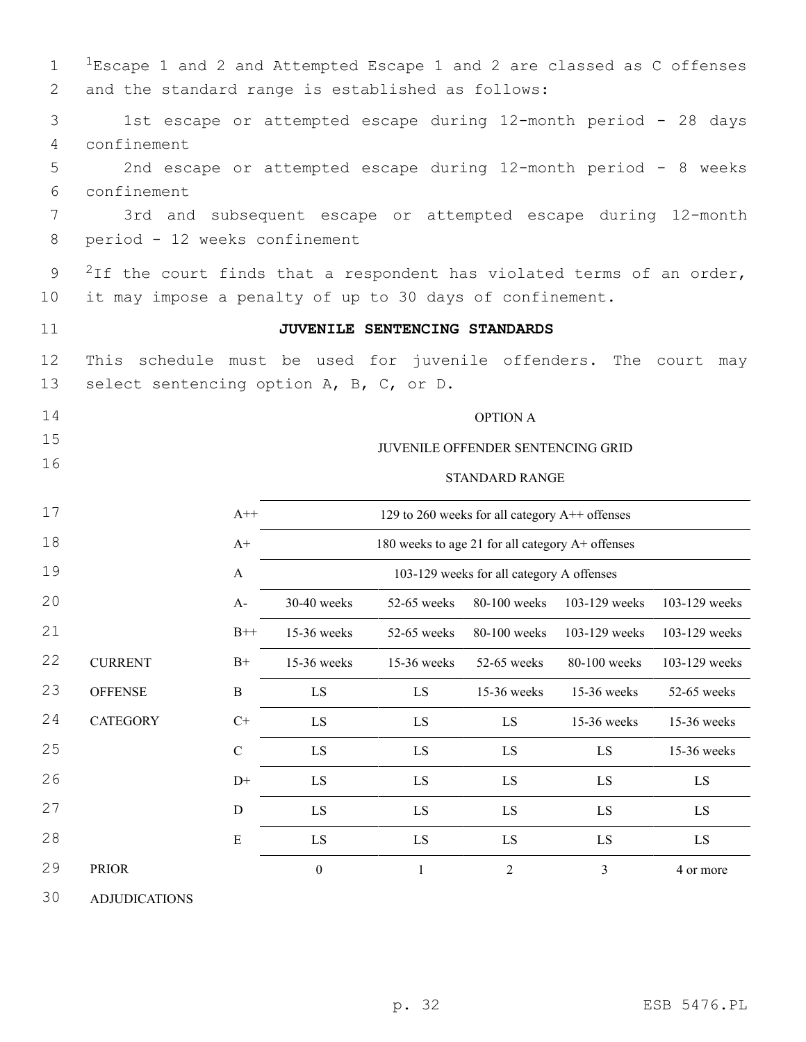| $\mathbf 1$<br>2 | ${}^{1}$ Escape 1 and 2 and Attempted Escape 1 and 2 are classed as C offenses<br>and the standard range is established as follows: |                  |                                                                 |                               |                                                  |                                          |               |  |  |  |  |
|------------------|-------------------------------------------------------------------------------------------------------------------------------------|------------------|-----------------------------------------------------------------|-------------------------------|--------------------------------------------------|------------------------------------------|---------------|--|--|--|--|
| 3                | 1st escape or attempted escape during 12-month period - 28 days                                                                     |                  |                                                                 |                               |                                                  |                                          |               |  |  |  |  |
| 4                | confinement                                                                                                                         |                  |                                                                 |                               |                                                  |                                          |               |  |  |  |  |
| 5                |                                                                                                                                     |                  | 2nd escape or attempted escape during 12-month period - 8 weeks |                               |                                                  |                                          |               |  |  |  |  |
| 6                | confinement                                                                                                                         |                  |                                                                 |                               |                                                  |                                          |               |  |  |  |  |
| 7                |                                                                                                                                     |                  | 3rd and subsequent escape or attempted escape during 12-month   |                               |                                                  |                                          |               |  |  |  |  |
| 8                | period - 12 weeks confinement                                                                                                       |                  |                                                                 |                               |                                                  |                                          |               |  |  |  |  |
| 9                | <sup>2</sup> If the court finds that a respondent has violated terms of an order,                                                   |                  |                                                                 |                               |                                                  |                                          |               |  |  |  |  |
| 10               | it may impose a penalty of up to 30 days of confinement.                                                                            |                  |                                                                 |                               |                                                  |                                          |               |  |  |  |  |
| 11               |                                                                                                                                     |                  |                                                                 | JUVENILE SENTENCING STANDARDS |                                                  |                                          |               |  |  |  |  |
| 12<br>13         | This schedule must be used for juvenile offenders. The court may<br>select sentencing option A, B, C, or D.                         |                  |                                                                 |                               |                                                  |                                          |               |  |  |  |  |
| 14               |                                                                                                                                     |                  |                                                                 |                               | <b>OPTION A</b>                                  |                                          |               |  |  |  |  |
| 15               |                                                                                                                                     |                  |                                                                 |                               |                                                  |                                          |               |  |  |  |  |
| 16               |                                                                                                                                     |                  |                                                                 |                               | JUVENILE OFFENDER SENTENCING GRID                |                                          |               |  |  |  |  |
|                  |                                                                                                                                     |                  |                                                                 |                               | <b>STANDARD RANGE</b>                            |                                          |               |  |  |  |  |
| 17               |                                                                                                                                     | $A++$            | 129 to 260 weeks for all category A++ offenses                  |                               |                                                  |                                          |               |  |  |  |  |
| 18               |                                                                                                                                     | $A+$             |                                                                 |                               | 180 weeks to age 21 for all category A+ offenses |                                          |               |  |  |  |  |
| 19               |                                                                                                                                     | A                |                                                                 |                               | 103-129 weeks for all category A offenses        |                                          |               |  |  |  |  |
| 20               |                                                                                                                                     | $A-$             | 30-40 weeks                                                     | $52-65$ weeks                 |                                                  | 80-100 weeks 103-129 weeks 103-129 weeks |               |  |  |  |  |
| 21               |                                                                                                                                     | $B++$            | $15-36$ weeks                                                   | $52-65$ weeks                 | 80-100 weeks                                     | 103-129 weeks 103-129 weeks              |               |  |  |  |  |
| 22               | <b>CURRENT</b>                                                                                                                      | $B+$             | 15-36 weeks                                                     | 15-36 weeks                   | 52-65 weeks                                      | 80-100 weeks                             | 103-129 weeks |  |  |  |  |
| 23               | <b>OFFENSE</b>                                                                                                                      | $\, {\bf B}$     | ${\rm LS}$                                                      | LS                            | 15-36 weeks                                      | 15-36 weeks                              | 52-65 weeks   |  |  |  |  |
| 24               | <b>CATEGORY</b>                                                                                                                     | $\mathrm{C}^{+}$ | $\mathop{\hbox{\rm LS}}$                                        | LS                            | LS                                               | 15-36 weeks                              | 15-36 weeks   |  |  |  |  |
| 25               |                                                                                                                                     | $\mathbf C$      | LS                                                              | $\mathop{\rm LS}\nolimits$    | LS                                               | LS                                       | 15-36 weeks   |  |  |  |  |
| 26               |                                                                                                                                     | $D+$             | LS                                                              | LS                            | LS                                               | LS                                       | LS            |  |  |  |  |
| 27               |                                                                                                                                     | $\mathbf D$      | LS                                                              | LS                            | LS                                               | LS                                       | LS            |  |  |  |  |
| 28               |                                                                                                                                     | E                | LS                                                              | LS                            | LS                                               | LS                                       | LS.           |  |  |  |  |
| 29               | <b>PRIOR</b>                                                                                                                        |                  | $\boldsymbol{0}$                                                | $\mathbf{1}$                  | $2\,$                                            | 3                                        | 4 or more     |  |  |  |  |
| 30               | <b>ADJUDICATIONS</b>                                                                                                                |                  |                                                                 |                               |                                                  |                                          |               |  |  |  |  |

p. 32 ESB 5476.PL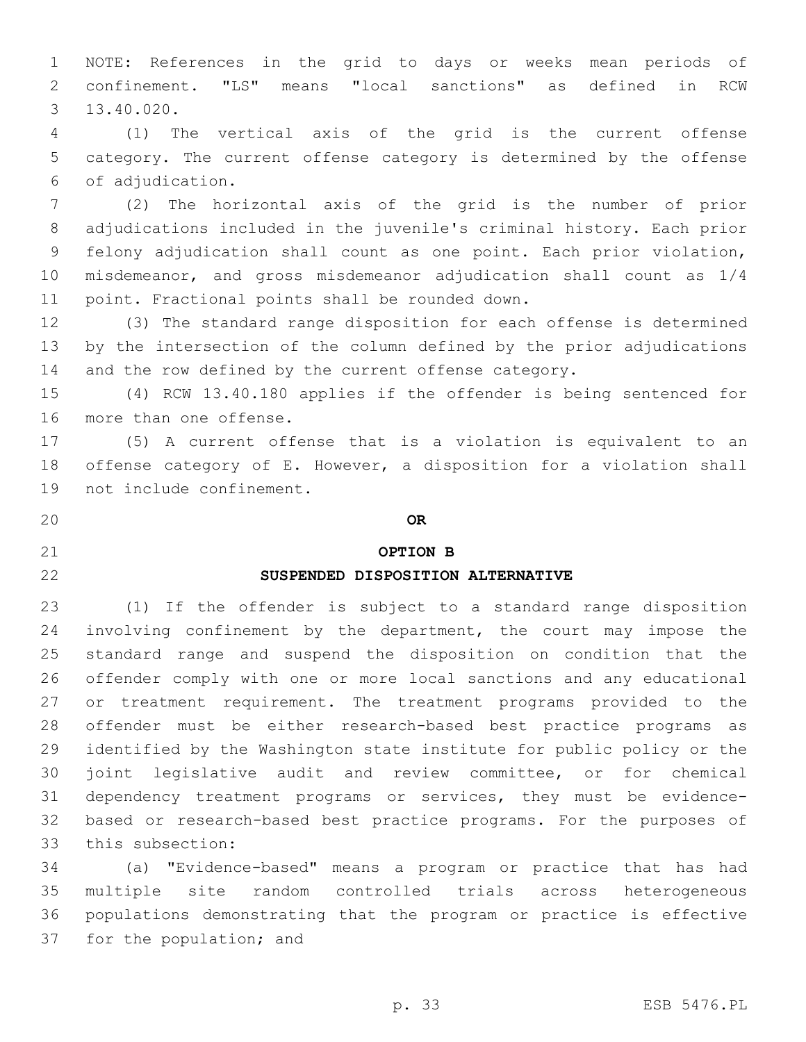NOTE: References in the grid to days or weeks mean periods of confinement. "LS" means "local sanctions" as defined in RCW 13.40.020.3

 (1) The vertical axis of the grid is the current offense category. The current offense category is determined by the offense of adjudication.6

 (2) The horizontal axis of the grid is the number of prior adjudications included in the juvenile's criminal history. Each prior felony adjudication shall count as one point. Each prior violation, misdemeanor, and gross misdemeanor adjudication shall count as 1/4 11 point. Fractional points shall be rounded down.

 (3) The standard range disposition for each offense is determined by the intersection of the column defined by the prior adjudications 14 and the row defined by the current offense category.

 (4) RCW 13.40.180 applies if the offender is being sentenced for 16 more than one offense.

 (5) A current offense that is a violation is equivalent to an offense category of E. However, a disposition for a violation shall 19 not include confinement.

**OR**

## **OPTION B**

# **SUSPENDED DISPOSITION ALTERNATIVE**

 (1) If the offender is subject to a standard range disposition 24 involving confinement by the department, the court may impose the standard range and suspend the disposition on condition that the offender comply with one or more local sanctions and any educational or treatment requirement. The treatment programs provided to the offender must be either research-based best practice programs as identified by the Washington state institute for public policy or the joint legislative audit and review committee, or for chemical dependency treatment programs or services, they must be evidence- based or research-based best practice programs. For the purposes of 33 this subsection:

 (a) "Evidence-based" means a program or practice that has had multiple site random controlled trials across heterogeneous populations demonstrating that the program or practice is effective 37 for the population; and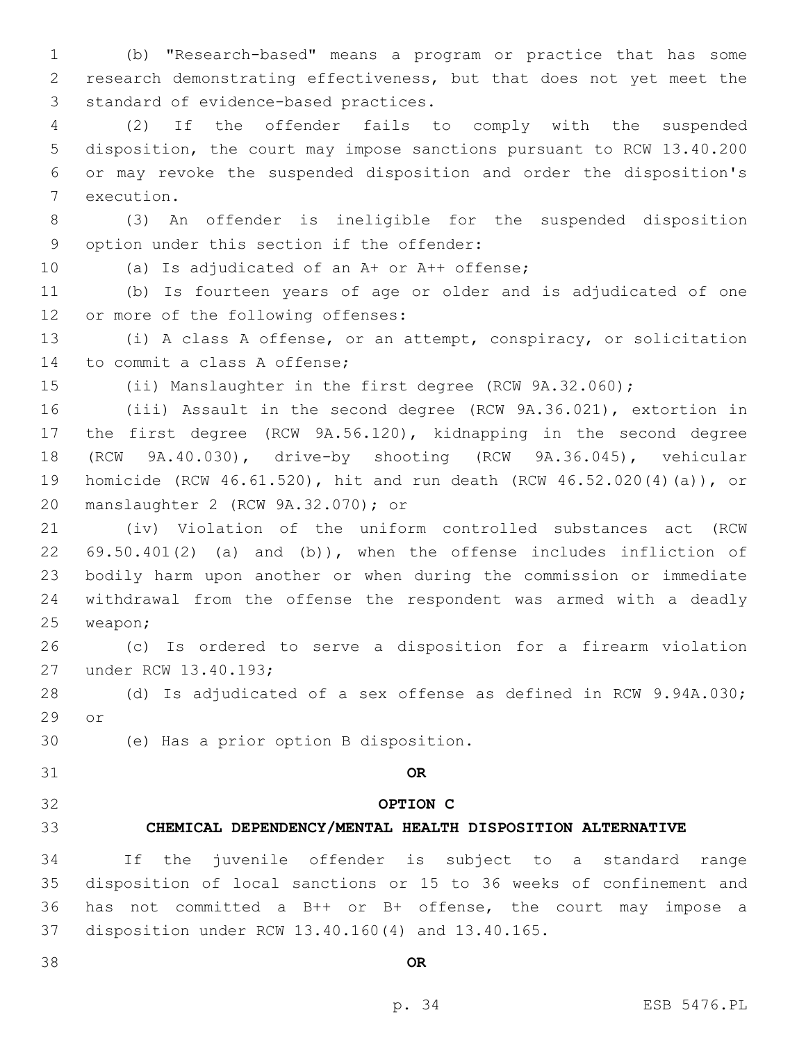(b) "Research-based" means a program or practice that has some research demonstrating effectiveness, but that does not yet meet the 3 standard of evidence-based practices.

 (2) If the offender fails to comply with the suspended disposition, the court may impose sanctions pursuant to RCW 13.40.200 or may revoke the suspended disposition and order the disposition's 7 execution.

 (3) An offender is ineligible for the suspended disposition 9 option under this section if the offender:

10 (a) Is adjudicated of an A+ or A++ offense;

 (b) Is fourteen years of age or older and is adjudicated of one 12 or more of the following offenses:

 (i) A class A offense, or an attempt, conspiracy, or solicitation 14 to commit a class A offense;

(ii) Manslaughter in the first degree (RCW 9A.32.060);

 (iii) Assault in the second degree (RCW 9A.36.021), extortion in the first degree (RCW 9A.56.120), kidnapping in the second degree (RCW 9A.40.030), drive-by shooting (RCW 9A.36.045), vehicular homicide (RCW 46.61.520), hit and run death (RCW 46.52.020(4)(a)), or manslaughter 2 (RCW 9A.32.070); or20

 (iv) Violation of the uniform controlled substances act (RCW 69.50.401(2) (a) and (b)), when the offense includes infliction of bodily harm upon another or when during the commission or immediate withdrawal from the offense the respondent was armed with a deadly 25 weapon;

 (c) Is ordered to serve a disposition for a firearm violation 27 under RCW 13.40.193;

 (d) Is adjudicated of a sex offense as defined in RCW 9.94A.030; 29 or

(e) Has a prior option B disposition.30

**OR**

### **OPTION C**

# **CHEMICAL DEPENDENCY/MENTAL HEALTH DISPOSITION ALTERNATIVE**

 If the juvenile offender is subject to a standard range disposition of local sanctions or 15 to 36 weeks of confinement and has not committed a B++ or B+ offense, the court may impose a 37 disposition under RCW 13.40.160(4) and 13.40.165.

**OR**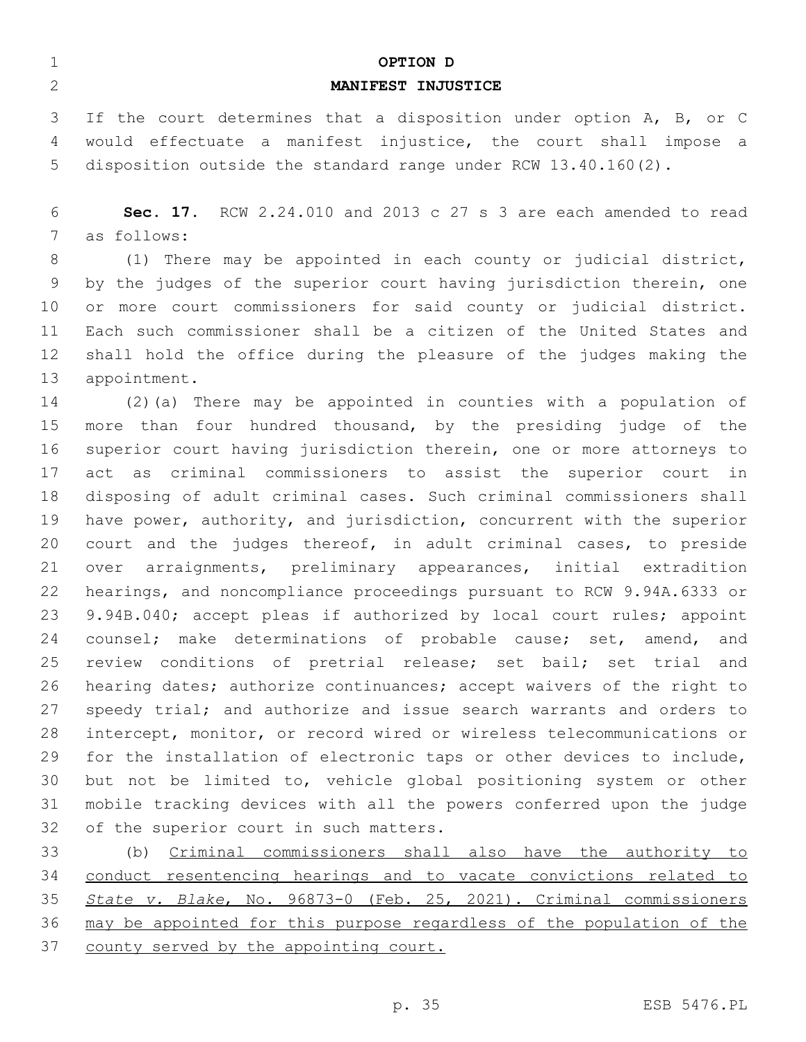| $\mathbf 1$<br>2 | OPTION D<br>MANIFEST INJUSTICE                                                                                                        |
|------------------|---------------------------------------------------------------------------------------------------------------------------------------|
| 3                |                                                                                                                                       |
| 4                | If the court determines that a disposition under option A, B, or C<br>would effectuate a manifest injustice, the court shall impose a |
| 5                | disposition outside the standard range under RCW $13.40.160(2)$ .                                                                     |
|                  |                                                                                                                                       |
| 6                | Sec. 17. RCW 2.24.010 and 2013 c 27 s 3 are each amended to read                                                                      |
| 7                | as follows:                                                                                                                           |
| 8                | (1) There may be appointed in each county or judicial district,                                                                       |
| 9                | by the judges of the superior court having jurisdiction therein, one                                                                  |
| 10               | or more court commissioners for said county or judicial district.                                                                     |
| 11               | Each such commissioner shall be a citizen of the United States and                                                                    |
| 12               | shall hold the office during the pleasure of the judges making the                                                                    |
| 13               | appointment.                                                                                                                          |
| 14               | $(2)$ (a) There may be appointed in counties with a population of                                                                     |
| 15               | more than four hundred thousand, by the presiding judge of the                                                                        |
| 16               | superior court having jurisdiction therein, one or more attorneys to                                                                  |
| 17               | criminal commissioners to assist the superior court in<br>act<br>as                                                                   |
| 18               | disposing of adult criminal cases. Such criminal commissioners shall                                                                  |
| 19               | have power, authority, and jurisdiction, concurrent with the superior                                                                 |
| 20               | court and the judges thereof, in adult criminal cases, to preside                                                                     |
| 21               | arraignments, preliminary appearances, initial extradition<br>over                                                                    |
| 22               | hearings, and noncompliance proceedings pursuant to RCW 9.94A.6333 or                                                                 |
| 23               | 9.94B.040; accept pleas if authorized by local court rules; appoint                                                                   |
| 24               | counsel; make determinations of probable cause; set, amend,<br>and                                                                    |
| 25               | review conditions of pretrial release; set bail; set trial and                                                                        |
| 26               | hearing dates; authorize continuances; accept waivers of the right to                                                                 |
| 27               | speedy trial; and authorize and issue search warrants and orders to                                                                   |
| 28               | intercept, monitor, or record wired or wireless telecommunications or                                                                 |
| 29               | for the installation of electronic taps or other devices to include,                                                                  |
| 30               | but not be limited to, vehicle global positioning system or other                                                                     |
| 31               | mobile tracking devices with all the powers conferred upon the judge                                                                  |
| 32               | of the superior court in such matters.                                                                                                |
| 33               | (b) Criminal commissioners shall also have the authority to                                                                           |
| 34               | conduct resentencing hearings and to vacate convictions related to                                                                    |
| 35               | State v. Blake, No. 96873-0 (Feb. 25, 2021). Criminal commissioners                                                                   |
| 36               | may be appointed for this purpose regardless of the population of the                                                                 |
| 37               | county served by the appointing court.                                                                                                |
|                  |                                                                                                                                       |
|                  | p. 35<br>ESB 5476.PL                                                                                                                  |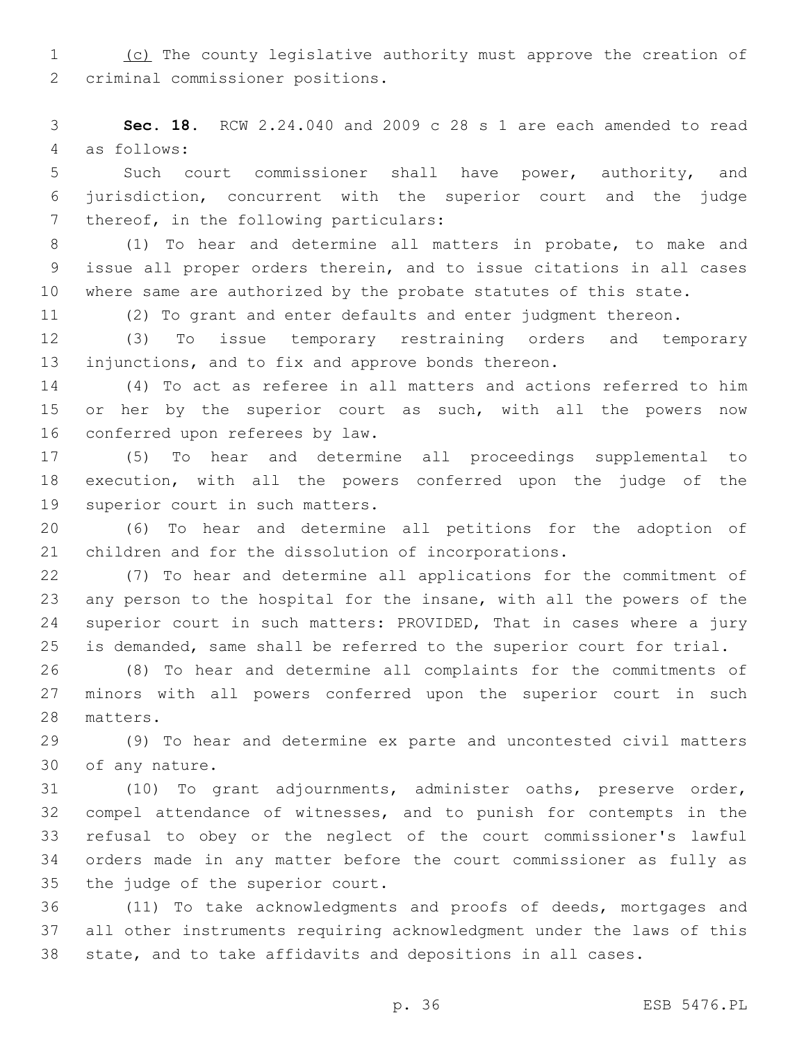1 (c) The county legislative authority must approve the creation of 2 criminal commissioner positions.

 **Sec. 18.** RCW 2.24.040 and 2009 c 28 s 1 are each amended to read as follows:4

 Such court commissioner shall have power, authority, and jurisdiction, concurrent with the superior court and the judge 7 thereof, in the following particulars:

 (1) To hear and determine all matters in probate, to make and issue all proper orders therein, and to issue citations in all cases where same are authorized by the probate statutes of this state.

(2) To grant and enter defaults and enter judgment thereon.

 (3) To issue temporary restraining orders and temporary injunctions, and to fix and approve bonds thereon.

 (4) To act as referee in all matters and actions referred to him 15 or her by the superior court as such, with all the powers now 16 conferred upon referees by law.

 (5) To hear and determine all proceedings supplemental to execution, with all the powers conferred upon the judge of the 19 superior court in such matters.

 (6) To hear and determine all petitions for the adoption of children and for the dissolution of incorporations.

 (7) To hear and determine all applications for the commitment of any person to the hospital for the insane, with all the powers of the 24 superior court in such matters: PROVIDED, That in cases where a jury is demanded, same shall be referred to the superior court for trial.

 (8) To hear and determine all complaints for the commitments of minors with all powers conferred upon the superior court in such 28 matters.

 (9) To hear and determine ex parte and uncontested civil matters 30 of any nature.

 (10) To grant adjournments, administer oaths, preserve order, compel attendance of witnesses, and to punish for contempts in the refusal to obey or the neglect of the court commissioner's lawful orders made in any matter before the court commissioner as fully as 35 the judge of the superior court.

 (11) To take acknowledgments and proofs of deeds, mortgages and all other instruments requiring acknowledgment under the laws of this state, and to take affidavits and depositions in all cases.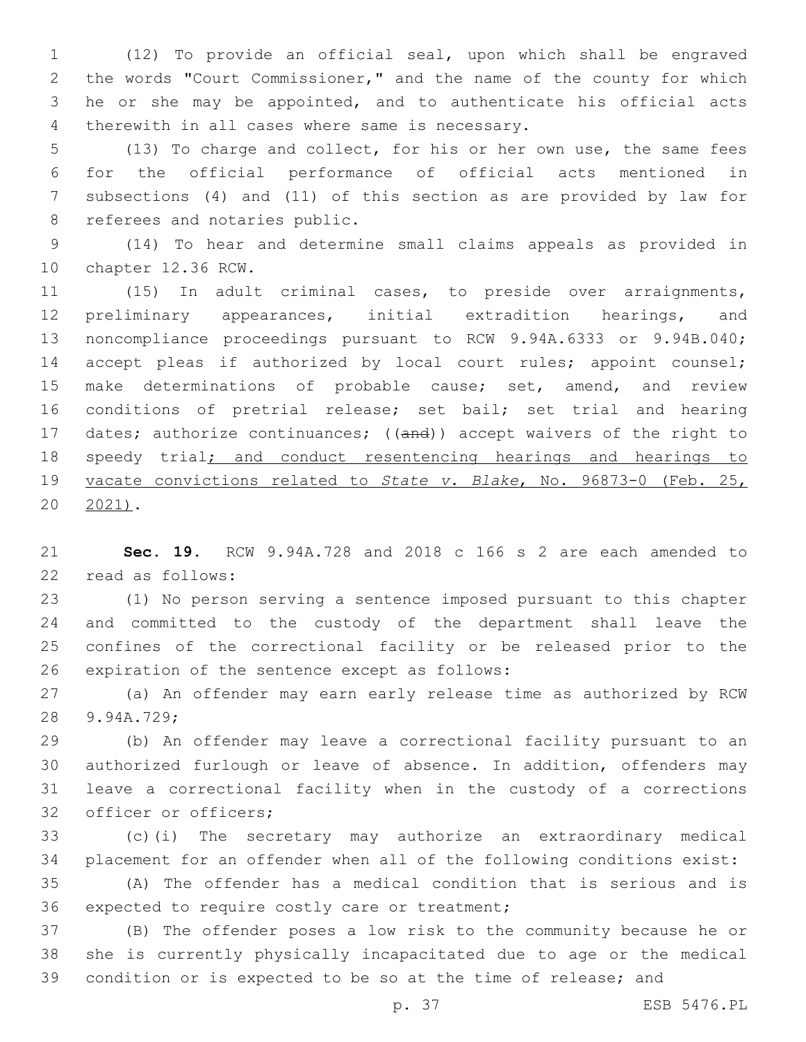(12) To provide an official seal, upon which shall be engraved the words "Court Commissioner," and the name of the county for which he or she may be appointed, and to authenticate his official acts 4 therewith in all cases where same is necessary.

 (13) To charge and collect, for his or her own use, the same fees for the official performance of official acts mentioned in subsections (4) and (11) of this section as are provided by law for 8 referees and notaries public.

 (14) To hear and determine small claims appeals as provided in 10 chapter 12.36 RCW.

 (15) In adult criminal cases, to preside over arraignments, preliminary appearances, initial extradition hearings, and noncompliance proceedings pursuant to RCW 9.94A.6333 or 9.94B.040; 14 accept pleas if authorized by local court rules; appoint counsel; 15 make determinations of probable cause; set, amend, and review conditions of pretrial release; set bail; set trial and hearing 17 dates; authorize continuances; ((and)) accept waivers of the right to 18 speedy trial; and conduct resentencing hearings and hearings to vacate convictions related to *State v. Blake*, No. 96873-0 (Feb. 25, 2021).

 **Sec. 19.** RCW 9.94A.728 and 2018 c 166 s 2 are each amended to 22 read as follows:

 (1) No person serving a sentence imposed pursuant to this chapter and committed to the custody of the department shall leave the confines of the correctional facility or be released prior to the 26 expiration of the sentence except as follows:

 (a) An offender may earn early release time as authorized by RCW 28 9.94A.729;

 (b) An offender may leave a correctional facility pursuant to an authorized furlough or leave of absence. In addition, offenders may leave a correctional facility when in the custody of a corrections 32 officer or officers;

 (c)(i) The secretary may authorize an extraordinary medical placement for an offender when all of the following conditions exist:

 (A) The offender has a medical condition that is serious and is 36 expected to require costly care or treatment;

 (B) The offender poses a low risk to the community because he or she is currently physically incapacitated due to age or the medical condition or is expected to be so at the time of release; and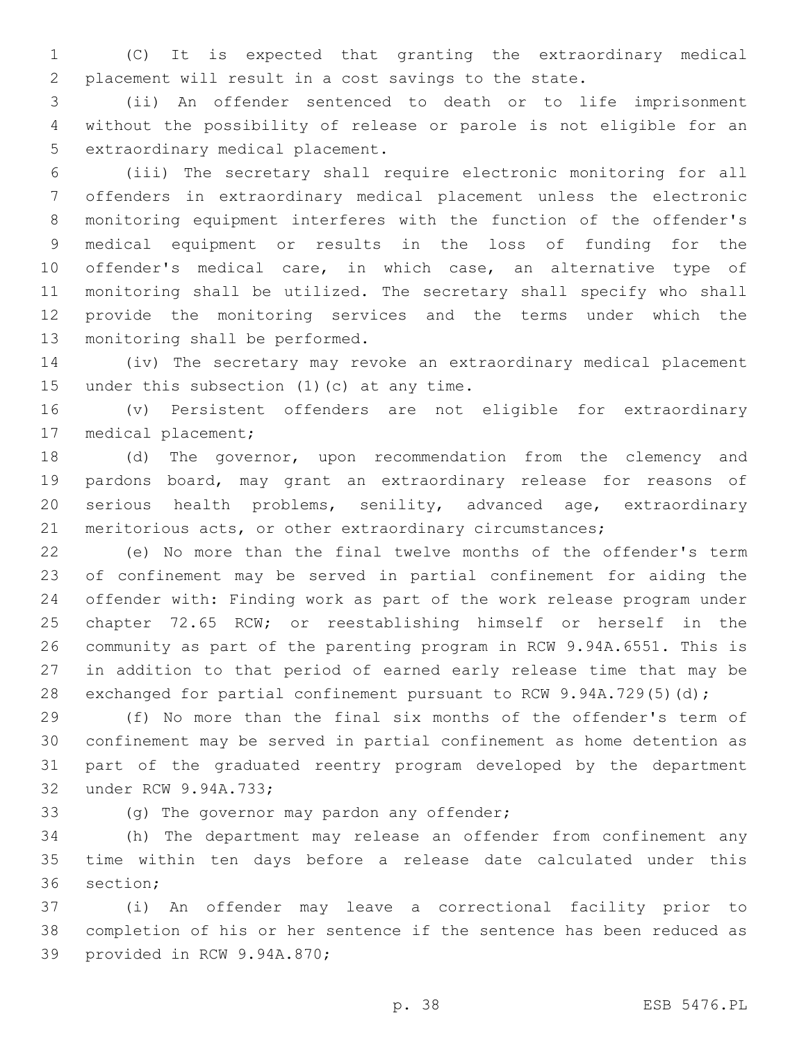(C) It is expected that granting the extraordinary medical placement will result in a cost savings to the state.

 (ii) An offender sentenced to death or to life imprisonment without the possibility of release or parole is not eligible for an 5 extraordinary medical placement.

 (iii) The secretary shall require electronic monitoring for all offenders in extraordinary medical placement unless the electronic monitoring equipment interferes with the function of the offender's medical equipment or results in the loss of funding for the offender's medical care, in which case, an alternative type of monitoring shall be utilized. The secretary shall specify who shall provide the monitoring services and the terms under which the 13 monitoring shall be performed.

 (iv) The secretary may revoke an extraordinary medical placement 15 under this subsection  $(1)(c)$  at any time.

 (v) Persistent offenders are not eligible for extraordinary 17 medical placement;

 (d) The governor, upon recommendation from the clemency and pardons board, may grant an extraordinary release for reasons of serious health problems, senility, advanced age, extraordinary meritorious acts, or other extraordinary circumstances;

 (e) No more than the final twelve months of the offender's term of confinement may be served in partial confinement for aiding the offender with: Finding work as part of the work release program under chapter 72.65 RCW; or reestablishing himself or herself in the community as part of the parenting program in RCW 9.94A.6551. This is in addition to that period of earned early release time that may be 28 exchanged for partial confinement pursuant to RCW 9.94A.729(5)(d);

 (f) No more than the final six months of the offender's term of confinement may be served in partial confinement as home detention as part of the graduated reentry program developed by the department 32 under RCW 9.94A.733;

(g) The governor may pardon any offender;

 (h) The department may release an offender from confinement any time within ten days before a release date calculated under this 36 section;

 (i) An offender may leave a correctional facility prior to completion of his or her sentence if the sentence has been reduced as 39 provided in RCW 9.94A.870;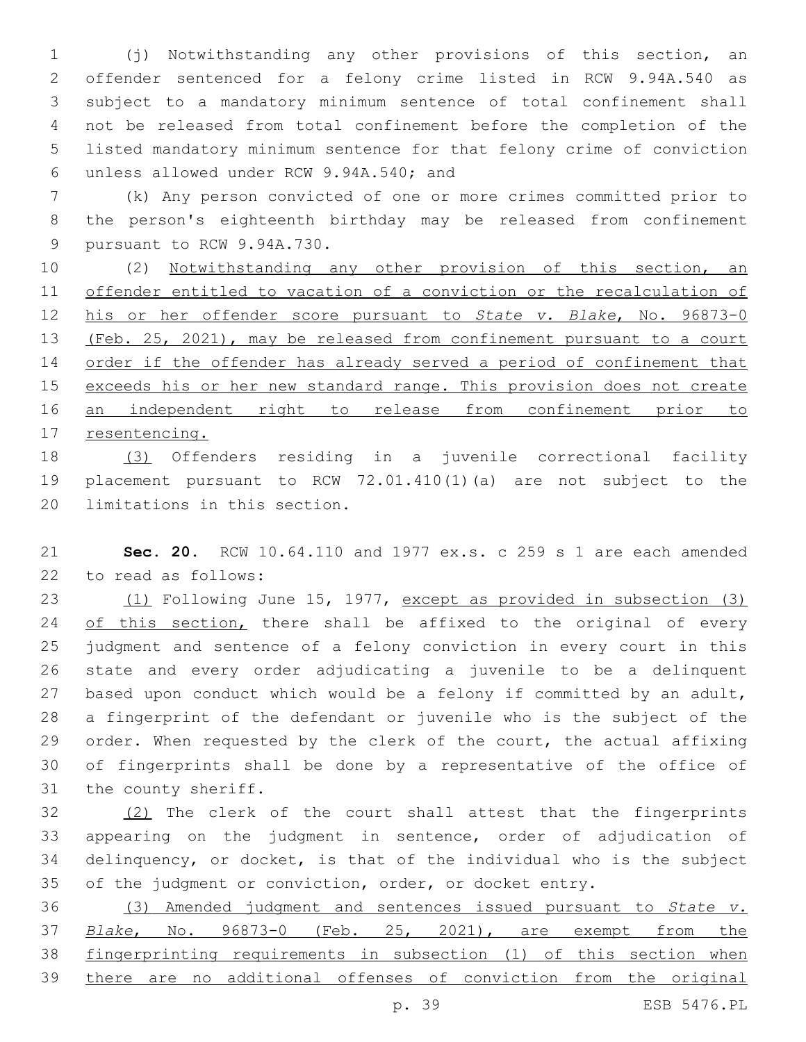(j) Notwithstanding any other provisions of this section, an offender sentenced for a felony crime listed in RCW 9.94A.540 as subject to a mandatory minimum sentence of total confinement shall not be released from total confinement before the completion of the listed mandatory minimum sentence for that felony crime of conviction unless allowed under RCW 9.94A.540; and6

 (k) Any person convicted of one or more crimes committed prior to the person's eighteenth birthday may be released from confinement 9 pursuant to RCW 9.94A.730.

 (2) Notwithstanding any other provision of this section, an offender entitled to vacation of a conviction or the recalculation of his or her offender score pursuant to *State v. Blake*, No. 96873-0 13 (Feb. 25, 2021), may be released from confinement pursuant to a court order if the offender has already served a period of confinement that 15 exceeds his or her new standard range. This provision does not create 16 an independent right to release from confinement prior to 17 resentencing.

 (3) Offenders residing in a juvenile correctional facility placement pursuant to RCW 72.01.410(1)(a) are not subject to the 20 limitations in this section.

 **Sec. 20.** RCW 10.64.110 and 1977 ex.s. c 259 s 1 are each amended 22 to read as follows:

 (1) Following June 15, 1977, except as provided in subsection (3) 24 of this section, there shall be affixed to the original of every judgment and sentence of a felony conviction in every court in this state and every order adjudicating a juvenile to be a delinquent based upon conduct which would be a felony if committed by an adult, a fingerprint of the defendant or juvenile who is the subject of the 29 order. When requested by the clerk of the court, the actual affixing of fingerprints shall be done by a representative of the office of 31 the county sheriff.

 (2) The clerk of the court shall attest that the fingerprints appearing on the judgment in sentence, order of adjudication of delinquency, or docket, is that of the individual who is the subject of the judgment or conviction, order, or docket entry.

 (3) Amended judgment and sentences issued pursuant to *State v. Blake*, No. 96873-0 (Feb. 25, 2021), are exempt from the fingerprinting requirements in subsection (1) of this section when there are no additional offenses of conviction from the original

p. 39 ESB 5476.PL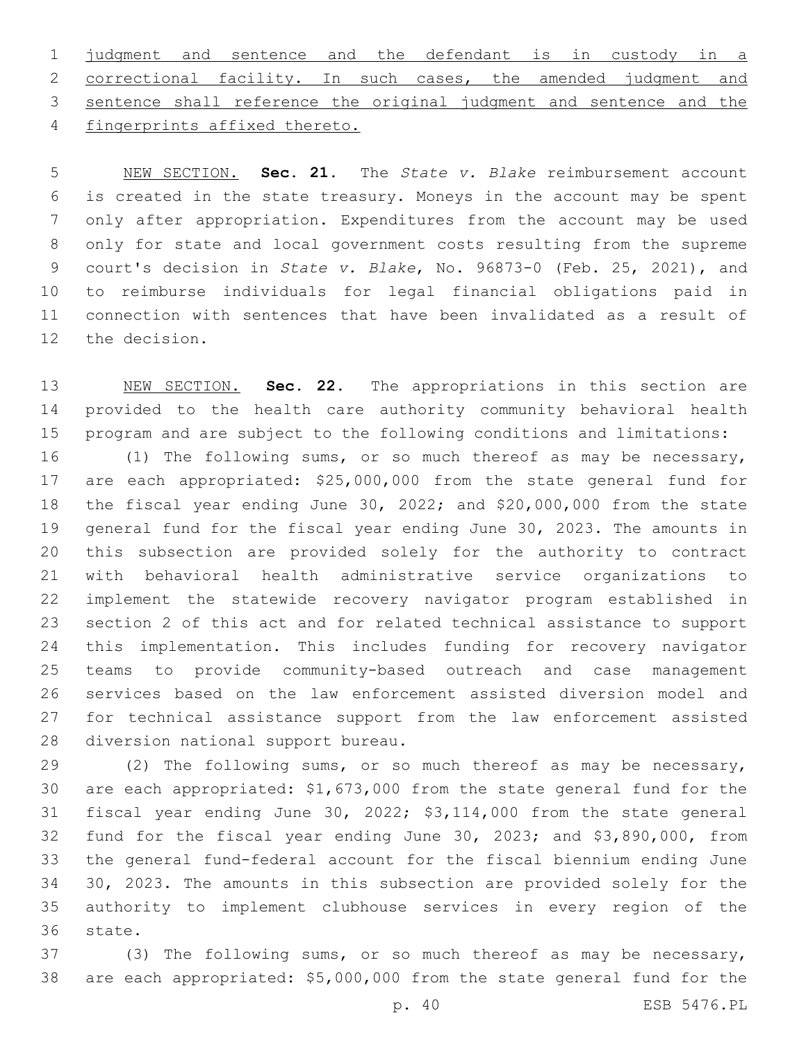judgment and sentence and the defendant is in custody in a correctional facility. In such cases, the amended judgment and sentence shall reference the original judgment and sentence and the 4 fingerprints affixed thereto.

 NEW SECTION. **Sec. 21.** The *State v. Blake* reimbursement account is created in the state treasury. Moneys in the account may be spent only after appropriation. Expenditures from the account may be used only for state and local government costs resulting from the supreme court's decision in *State v. Blake*, No. 96873-0 (Feb. 25, 2021), and to reimburse individuals for legal financial obligations paid in connection with sentences that have been invalidated as a result of the decision.

 NEW SECTION. **Sec. 22.** The appropriations in this section are provided to the health care authority community behavioral health program and are subject to the following conditions and limitations:

 (1) The following sums, or so much thereof as may be necessary, are each appropriated: \$25,000,000 from the state general fund for the fiscal year ending June 30, 2022; and \$20,000,000 from the state general fund for the fiscal year ending June 30, 2023. The amounts in this subsection are provided solely for the authority to contract with behavioral health administrative service organizations to implement the statewide recovery navigator program established in section 2 of this act and for related technical assistance to support this implementation. This includes funding for recovery navigator teams to provide community-based outreach and case management services based on the law enforcement assisted diversion model and for technical assistance support from the law enforcement assisted 28 diversion national support bureau.

 (2) The following sums, or so much thereof as may be necessary, are each appropriated: \$1,673,000 from the state general fund for the fiscal year ending June 30, 2022; \$3,114,000 from the state general fund for the fiscal year ending June 30, 2023; and \$3,890,000, from the general fund-federal account for the fiscal biennium ending June 30, 2023. The amounts in this subsection are provided solely for the authority to implement clubhouse services in every region of the 36 state.

 (3) The following sums, or so much thereof as may be necessary, are each appropriated: \$5,000,000 from the state general fund for the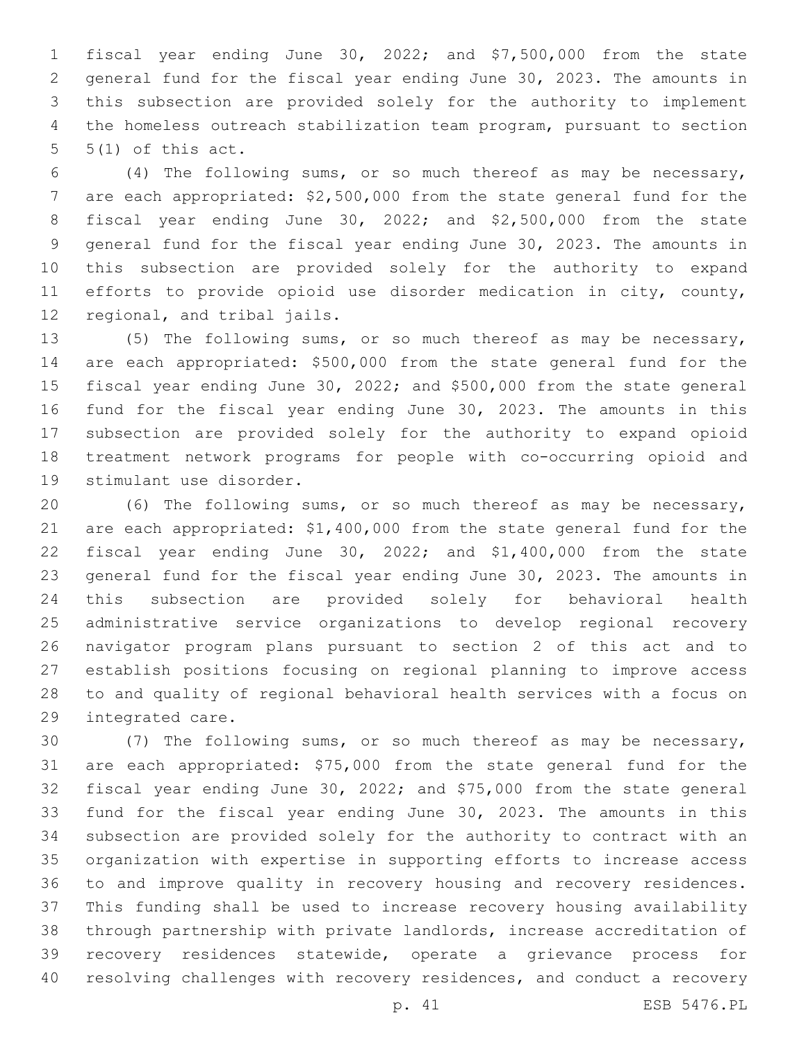fiscal year ending June 30, 2022; and \$7,500,000 from the state general fund for the fiscal year ending June 30, 2023. The amounts in this subsection are provided solely for the authority to implement the homeless outreach stabilization team program, pursuant to section  $5(1)$  of this act.

 (4) The following sums, or so much thereof as may be necessary, are each appropriated: \$2,500,000 from the state general fund for the fiscal year ending June 30, 2022; and \$2,500,000 from the state general fund for the fiscal year ending June 30, 2023. The amounts in this subsection are provided solely for the authority to expand efforts to provide opioid use disorder medication in city, county, 12 regional, and tribal jails.

 (5) The following sums, or so much thereof as may be necessary, are each appropriated: \$500,000 from the state general fund for the fiscal year ending June 30, 2022; and \$500,000 from the state general fund for the fiscal year ending June 30, 2023. The amounts in this subsection are provided solely for the authority to expand opioid treatment network programs for people with co-occurring opioid and 19 stimulant use disorder.

 (6) The following sums, or so much thereof as may be necessary, are each appropriated: \$1,400,000 from the state general fund for the fiscal year ending June 30, 2022; and \$1,400,000 from the state general fund for the fiscal year ending June 30, 2023. The amounts in this subsection are provided solely for behavioral health administrative service organizations to develop regional recovery navigator program plans pursuant to section 2 of this act and to establish positions focusing on regional planning to improve access to and quality of regional behavioral health services with a focus on 29 integrated care.

 (7) The following sums, or so much thereof as may be necessary, are each appropriated: \$75,000 from the state general fund for the fiscal year ending June 30, 2022; and \$75,000 from the state general fund for the fiscal year ending June 30, 2023. The amounts in this subsection are provided solely for the authority to contract with an organization with expertise in supporting efforts to increase access to and improve quality in recovery housing and recovery residences. This funding shall be used to increase recovery housing availability through partnership with private landlords, increase accreditation of recovery residences statewide, operate a grievance process for resolving challenges with recovery residences, and conduct a recovery

p. 41 ESB 5476.PL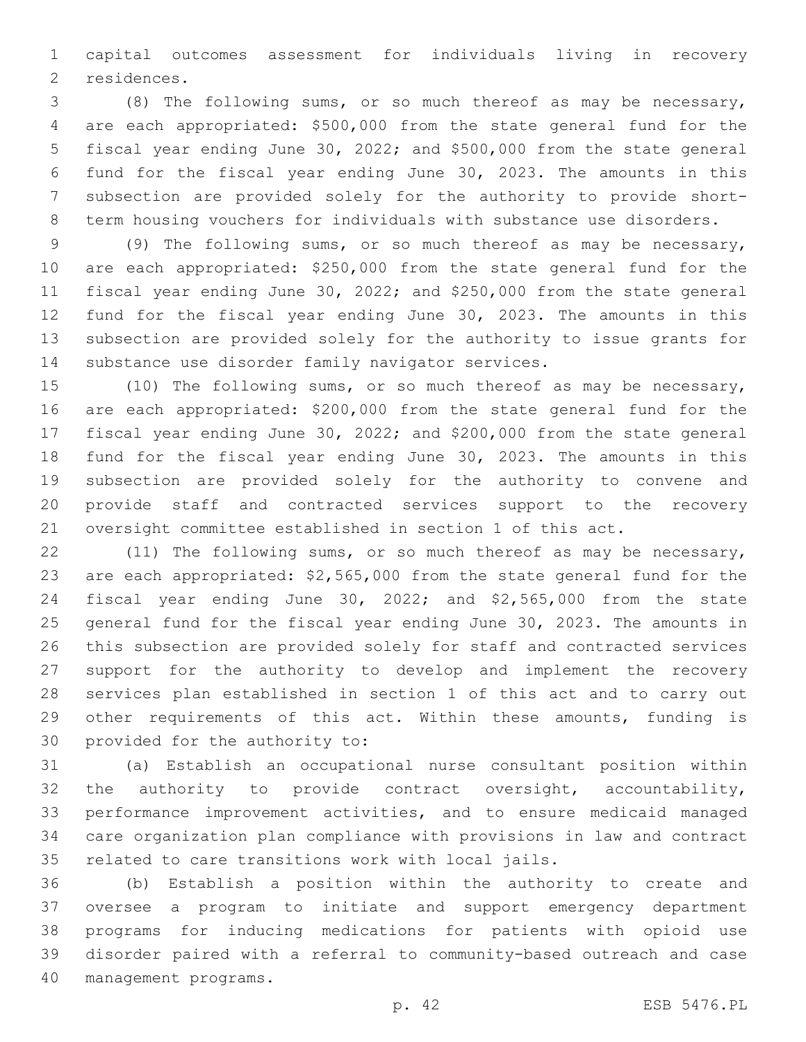capital outcomes assessment for individuals living in recovery 2 residences.

 (8) The following sums, or so much thereof as may be necessary, are each appropriated: \$500,000 from the state general fund for the fiscal year ending June 30, 2022; and \$500,000 from the state general fund for the fiscal year ending June 30, 2023. The amounts in this subsection are provided solely for the authority to provide short-term housing vouchers for individuals with substance use disorders.

 (9) The following sums, or so much thereof as may be necessary, are each appropriated: \$250,000 from the state general fund for the fiscal year ending June 30, 2022; and \$250,000 from the state general fund for the fiscal year ending June 30, 2023. The amounts in this subsection are provided solely for the authority to issue grants for 14 substance use disorder family navigator services.

 (10) The following sums, or so much thereof as may be necessary, are each appropriated: \$200,000 from the state general fund for the fiscal year ending June 30, 2022; and \$200,000 from the state general fund for the fiscal year ending June 30, 2023. The amounts in this subsection are provided solely for the authority to convene and provide staff and contracted services support to the recovery oversight committee established in section 1 of this act.

 (11) The following sums, or so much thereof as may be necessary, are each appropriated: \$2,565,000 from the state general fund for the fiscal year ending June 30, 2022; and \$2,565,000 from the state general fund for the fiscal year ending June 30, 2023. The amounts in this subsection are provided solely for staff and contracted services support for the authority to develop and implement the recovery services plan established in section 1 of this act and to carry out 29 other requirements of this act. Within these amounts, funding is 30 provided for the authority to:

 (a) Establish an occupational nurse consultant position within the authority to provide contract oversight, accountability, performance improvement activities, and to ensure medicaid managed care organization plan compliance with provisions in law and contract related to care transitions work with local jails.

 (b) Establish a position within the authority to create and oversee a program to initiate and support emergency department programs for inducing medications for patients with opioid use disorder paired with a referral to community-based outreach and case 40 management programs.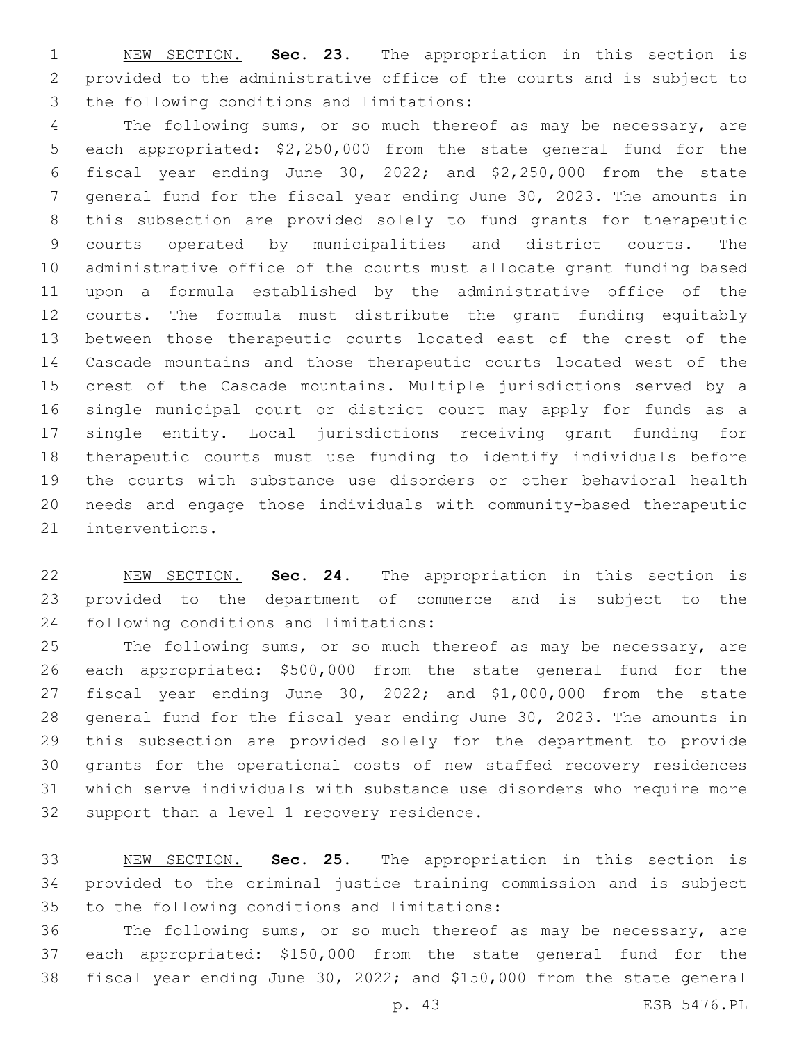NEW SECTION. **Sec. 23.** The appropriation in this section is provided to the administrative office of the courts and is subject to the following conditions and limitations:

 The following sums, or so much thereof as may be necessary, are each appropriated: \$2,250,000 from the state general fund for the fiscal year ending June 30, 2022; and \$2,250,000 from the state general fund for the fiscal year ending June 30, 2023. The amounts in this subsection are provided solely to fund grants for therapeutic courts operated by municipalities and district courts. The administrative office of the courts must allocate grant funding based upon a formula established by the administrative office of the courts. The formula must distribute the grant funding equitably between those therapeutic courts located east of the crest of the Cascade mountains and those therapeutic courts located west of the crest of the Cascade mountains. Multiple jurisdictions served by a single municipal court or district court may apply for funds as a single entity. Local jurisdictions receiving grant funding for therapeutic courts must use funding to identify individuals before the courts with substance use disorders or other behavioral health needs and engage those individuals with community-based therapeutic 21 interventions.

 NEW SECTION. **Sec. 24.** The appropriation in this section is provided to the department of commerce and is subject to the following conditions and limitations:

 The following sums, or so much thereof as may be necessary, are each appropriated: \$500,000 from the state general fund for the fiscal year ending June 30, 2022; and \$1,000,000 from the state general fund for the fiscal year ending June 30, 2023. The amounts in this subsection are provided solely for the department to provide grants for the operational costs of new staffed recovery residences which serve individuals with substance use disorders who require more 32 support than a level 1 recovery residence.

 NEW SECTION. **Sec. 25.** The appropriation in this section is provided to the criminal justice training commission and is subject to the following conditions and limitations:

 The following sums, or so much thereof as may be necessary, are each appropriated: \$150,000 from the state general fund for the fiscal year ending June 30, 2022; and \$150,000 from the state general